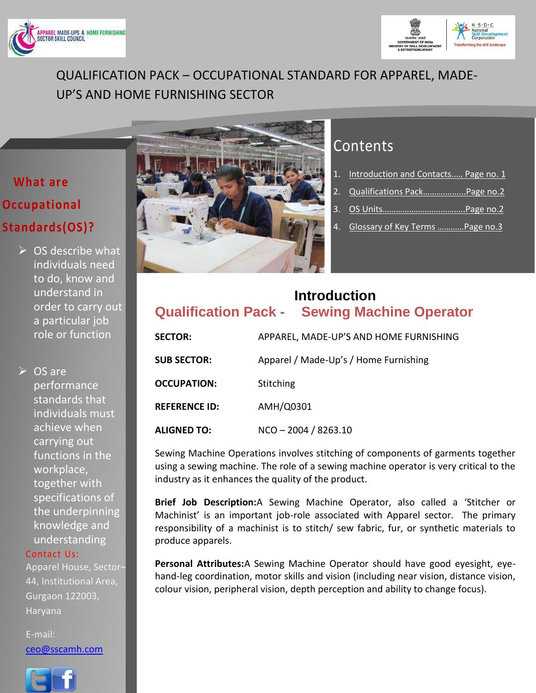



# QUALIFICATION PACK – OCCUPATIONAL STANDARD FOR APPAREL, MADE-UP'S AND HOME FURNISHING SECTOR

# **What are Occupational Standards(OS)?**

 $\triangleright$  OS describe what individuals need to do, know and understand in order to carry out a particular job role or function

**► OS are** performance standards that individuals must achieve when carrying out functions in the workplace, together with specifications of the underpinning knowledge and understanding

### Contact Us:

Apparel House, Sector– 44, Institutional Area, Gurgaon 122003, Haryana

[ceo@sscamh.com](mailto:ceo@sscamh.com)





# **Contents**

- 1. [Introduction and Contacts..](#page-0-0)… Page no. 1
- 2. Qualifications Pack...................Page no.2
- 3. OS [Units……………………..…….….Page no.2](#page-1-0)
- 4. [Glossary of Key Terms …………Page no.3](#page-2-0)

# <span id="page-0-0"></span>**Introduction Qualification Pack - Sewing Machine Operator**

| <b>SECTOR:</b>       | APPAREL, MADE-UP'S AND HOME FURNISHING |
|----------------------|----------------------------------------|
| <b>SUB SECTOR:</b>   | Apparel / Made-Up's / Home Furnishing  |
| <b>OCCUPATION:</b>   | Stitching                              |
| <b>REFERENCE ID:</b> | AMH/Q0301                              |
| <b>ALIGNED TO:</b>   | $NCO - 2004 / 8263.10$                 |

Sewing Machine Operations involves stitching of components of garments together using a sewing machine. The role of a sewing machine operator is very critical to the industry as it enhances the quality of the product.

**Brief Job Description:**A Sewing Machine Operator, also called a 'Stitcher or Machinist' is an important job-role associated with Apparel sector. The primary responsibility of a machinist is to stitch/ sew fabric, fur, or synthetic materials to produce apparels.

**Personal Attributes:**A Sewing Machine Operator should have good eyesight, eyehand-leg coordination, motor skills and vision (including near vision, distance vision, colour vision, peripheral vision, depth perception and ability to change focus).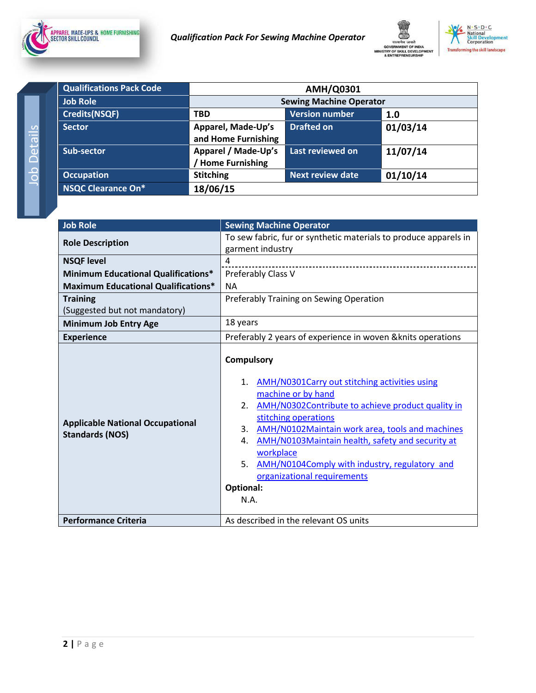<span id="page-1-0"></span>



| <b>Qualifications Pack Code</b> | <b>AMH/Q0301</b>                           |                         |          |  |  |
|---------------------------------|--------------------------------------------|-------------------------|----------|--|--|
| <b>Job Role</b>                 | <b>Sewing Machine Operator</b>             |                         |          |  |  |
| <b>Credits(NSQF)</b>            | <b>Version number</b><br><b>TBD</b><br>1.0 |                         |          |  |  |
| <b>Sector</b>                   | Apparel, Made-Up's<br>and Home Furnishing  | <b>Drafted on</b>       | 01/03/14 |  |  |
| Sub-sector                      | Apparel / Made-Up's<br>Home Furnishing     | Last reviewed on        | 11/07/14 |  |  |
| <b>Occupation</b>               | <b>Stitching</b>                           | <b>Next review date</b> | 01/10/14 |  |  |
| <b>NSQC Clearance On*</b>       | 18/06/15                                   |                         |          |  |  |

<span id="page-1-1"></span>

| <b>Job Role</b>                                                   | <b>Sewing Machine Operator</b>                                                                                                                                                                                                                                                                                                                                                                                                      |  |  |
|-------------------------------------------------------------------|-------------------------------------------------------------------------------------------------------------------------------------------------------------------------------------------------------------------------------------------------------------------------------------------------------------------------------------------------------------------------------------------------------------------------------------|--|--|
| <b>Role Description</b>                                           | To sew fabric, fur or synthetic materials to produce apparels in                                                                                                                                                                                                                                                                                                                                                                    |  |  |
|                                                                   | garment industry                                                                                                                                                                                                                                                                                                                                                                                                                    |  |  |
| <b>NSQF level</b>                                                 | 4                                                                                                                                                                                                                                                                                                                                                                                                                                   |  |  |
| <b>Minimum Educational Qualifications*</b>                        | Preferably Class V                                                                                                                                                                                                                                                                                                                                                                                                                  |  |  |
| <b>Maximum Educational Qualifications*</b>                        | <b>NA</b>                                                                                                                                                                                                                                                                                                                                                                                                                           |  |  |
| <b>Training</b>                                                   | Preferably Training on Sewing Operation                                                                                                                                                                                                                                                                                                                                                                                             |  |  |
| (Suggested but not mandatory)                                     |                                                                                                                                                                                                                                                                                                                                                                                                                                     |  |  |
| <b>Minimum Job Entry Age</b>                                      | 18 years                                                                                                                                                                                                                                                                                                                                                                                                                            |  |  |
| <b>Experience</b>                                                 | Preferably 2 years of experience in woven & knits operations                                                                                                                                                                                                                                                                                                                                                                        |  |  |
| <b>Applicable National Occupational</b><br><b>Standards (NOS)</b> | <b>Compulsory</b><br>AMH/N0301Carry out stitching activities using<br>1.<br>machine or by hand<br>AMH/N0302Contribute to achieve product quality in<br>2.<br>stitching operations<br>3.<br>AMH/N0102Maintain work area, tools and machines<br>AMH/N0103Maintain health, safety and security at<br>4.<br>workplace<br>5.<br>AMH/N0104Comply with industry, regulatory and<br>organizational requirements<br><b>Optional:</b><br>N.A. |  |  |
| <b>Performance Criteria</b>                                       | As described in the relevant OS units                                                                                                                                                                                                                                                                                                                                                                                               |  |  |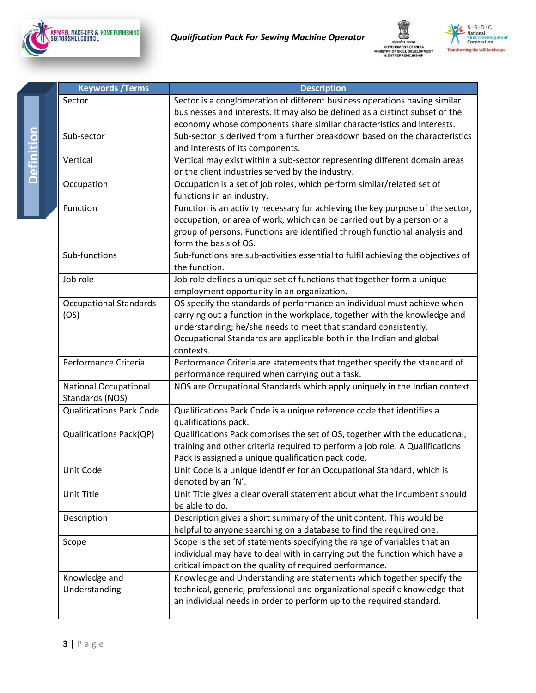<span id="page-2-0"></span>





| <b>Keywords / Terms</b>                         | <b>Description</b>                                                               |  |  |
|-------------------------------------------------|----------------------------------------------------------------------------------|--|--|
| Sector                                          | Sector is a conglomeration of different business operations having similar       |  |  |
|                                                 | businesses and interests. It may also be defined as a distinct subset of the     |  |  |
|                                                 | economy whose components share similar characteristics and interests.            |  |  |
| Sub-sector                                      | Sub-sector is derived from a further breakdown based on the characteristics      |  |  |
|                                                 | and interests of its components.                                                 |  |  |
| Vertical                                        | Vertical may exist within a sub-sector representing different domain areas       |  |  |
|                                                 | or the client industries served by the industry.                                 |  |  |
| Occupation                                      | Occupation is a set of job roles, which perform similar/related set of           |  |  |
|                                                 | functions in an industry.                                                        |  |  |
| Function                                        | Function is an activity necessary for achieving the key purpose of the sector,   |  |  |
|                                                 | occupation, or area of work, which can be carried out by a person or a           |  |  |
|                                                 | group of persons. Functions are identified through functional analysis and       |  |  |
|                                                 | form the basis of OS.                                                            |  |  |
| Sub-functions                                   | Sub-functions are sub-activities essential to fulfil achieving the objectives of |  |  |
|                                                 | the function.                                                                    |  |  |
| Job role                                        | Job role defines a unique set of functions that together form a unique           |  |  |
|                                                 | employment opportunity in an organization.                                       |  |  |
| <b>Occupational Standards</b>                   | OS specify the standards of performance an individual must achieve when          |  |  |
| (OS)                                            | carrying out a function in the workplace, together with the knowledge and        |  |  |
|                                                 | understanding; he/she needs to meet that standard consistently.                  |  |  |
|                                                 | Occupational Standards are applicable both in the Indian and global              |  |  |
|                                                 | contexts.                                                                        |  |  |
| Performance Criteria                            | Performance Criteria are statements that together specify the standard of        |  |  |
|                                                 | performance required when carrying out a task.                                   |  |  |
| <b>National Occupational</b><br>Standards (NOS) | NOS are Occupational Standards which apply uniquely in the Indian context.       |  |  |
| <b>Qualifications Pack Code</b>                 | Qualifications Pack Code is a unique reference code that identifies a            |  |  |
|                                                 | qualifications pack.                                                             |  |  |
| <b>Qualifications Pack(QP)</b>                  | Qualifications Pack comprises the set of OS, together with the educational,      |  |  |
|                                                 | training and other criteria required to perform a job role. A Qualifications     |  |  |
|                                                 | Pack is assigned a unique qualification pack code.                               |  |  |
| Unit Code                                       | Unit Code is a unique identifier for an Occupational Standard, which is          |  |  |
|                                                 | denoted by an 'N'.                                                               |  |  |
| Unit Title                                      | Unit Title gives a clear overall statement about what the incumbent should       |  |  |
|                                                 | be able to do.                                                                   |  |  |
| Description                                     | Description gives a short summary of the unit content. This would be             |  |  |
|                                                 | helpful to anyone searching on a database to find the required one.              |  |  |
| Scope                                           | Scope is the set of statements specifying the range of variables that an         |  |  |
|                                                 | individual may have to deal with in carrying out the function which have a       |  |  |
|                                                 | critical impact on the quality of required performance.                          |  |  |
| Knowledge and                                   | Knowledge and Understanding are statements which together specify the            |  |  |
| Understanding                                   | technical, generic, professional and organizational specific knowledge that      |  |  |
|                                                 | an individual needs in order to perform up to the required standard.             |  |  |
|                                                 |                                                                                  |  |  |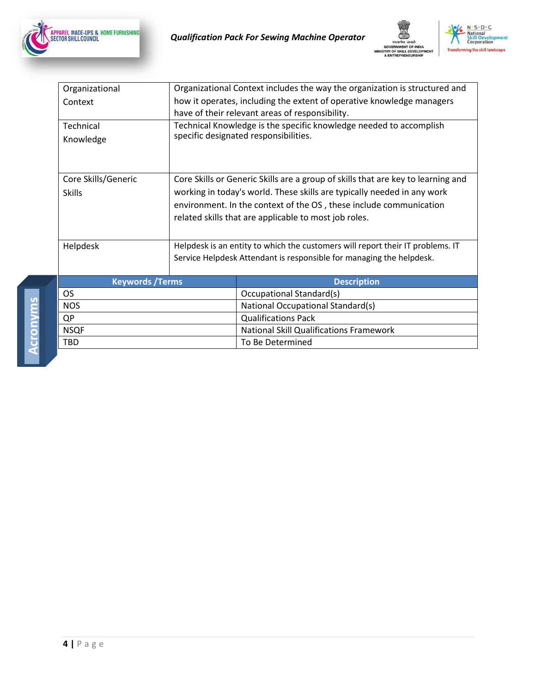





| Organizational         | Organizational Context includes the way the organization is structured and |                                                                                  |  |
|------------------------|----------------------------------------------------------------------------|----------------------------------------------------------------------------------|--|
| Context                | how it operates, including the extent of operative knowledge managers      |                                                                                  |  |
|                        |                                                                            | have of their relevant areas of responsibility.                                  |  |
| Technical              |                                                                            | Technical Knowledge is the specific knowledge needed to accomplish               |  |
| Knowledge              |                                                                            | specific designated responsibilities.                                            |  |
|                        |                                                                            |                                                                                  |  |
|                        |                                                                            |                                                                                  |  |
| Core Skills/Generic    |                                                                            | Core Skills or Generic Skills are a group of skills that are key to learning and |  |
| <b>Skills</b>          |                                                                            | working in today's world. These skills are typically needed in any work          |  |
|                        | environment. In the context of the OS, these include communication         |                                                                                  |  |
|                        | related skills that are applicable to most job roles.                      |                                                                                  |  |
|                        |                                                                            |                                                                                  |  |
|                        |                                                                            |                                                                                  |  |
| Helpdesk               |                                                                            | Helpdesk is an entity to which the customers will report their IT problems. IT   |  |
|                        | Service Helpdesk Attendant is responsible for managing the helpdesk.       |                                                                                  |  |
| <b>Keywords /Terms</b> |                                                                            | <b>Description</b>                                                               |  |
| <b>OS</b>              |                                                                            | <b>Occupational Standard(s)</b>                                                  |  |
| <b>NOS</b>             |                                                                            | National Occupational Standard(s)                                                |  |
| QP                     |                                                                            | <b>Qualifications Pack</b>                                                       |  |
| <b>NSQF</b>            |                                                                            | <b>National Skill Qualifications Framework</b>                                   |  |
| TBD                    |                                                                            | To Be Determined                                                                 |  |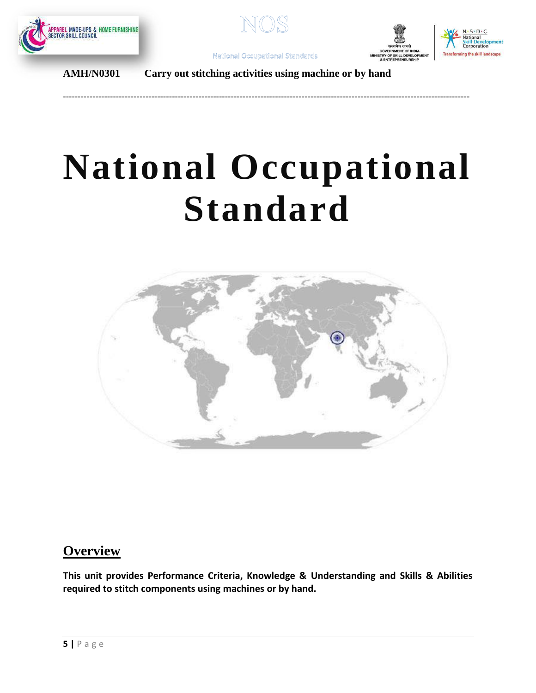



<span id="page-4-0"></span>------------------------------------------------------------------------------------------------------------------------------------------





**AMH/N0301 Carry out stitching activities using machine or by hand**

# **National Occupational Standard**



# **Overview**

**This unit provides Performance Criteria, Knowledge & Understanding and Skills & Abilities required to stitch components using machines or by hand.**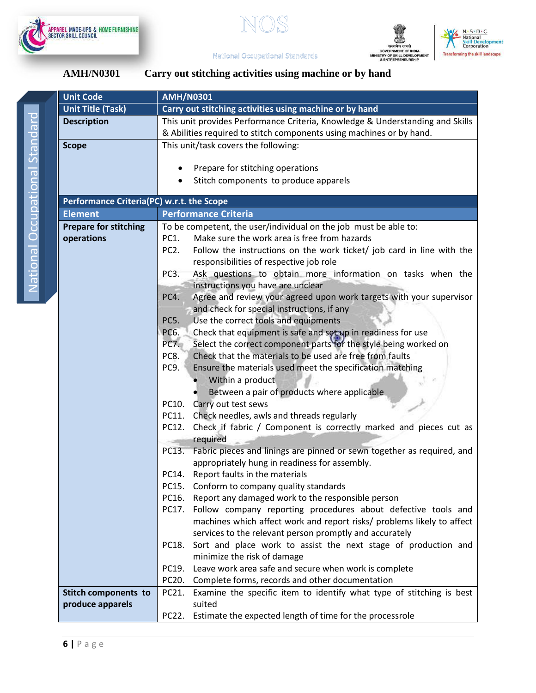







| <b>AMH/N0301</b> | Carry out stitching activities using machine or by hand |  |  |
|------------------|---------------------------------------------------------|--|--|
|                  |                                                         |  |  |

|       | <b>Unit Code</b>                          | <b>AMH/N0301</b>                                                                           |  |  |  |
|-------|-------------------------------------------|--------------------------------------------------------------------------------------------|--|--|--|
|       | <b>Unit Title (Task)</b>                  | Carry out stitching activities using machine or by hand                                    |  |  |  |
|       | <b>Description</b>                        | This unit provides Performance Criteria, Knowledge & Understanding and Skills              |  |  |  |
|       |                                           | & Abilities required to stitch components using machines or by hand.                       |  |  |  |
|       | <b>Scope</b>                              | This unit/task covers the following:                                                       |  |  |  |
|       |                                           |                                                                                            |  |  |  |
|       |                                           | Prepare for stitching operations<br>$\bullet$                                              |  |  |  |
|       |                                           | Stitch components to produce apparels                                                      |  |  |  |
|       |                                           |                                                                                            |  |  |  |
|       | Performance Criteria(PC) w.r.t. the Scope |                                                                                            |  |  |  |
|       | <b>Element</b>                            | <b>Performance Criteria</b>                                                                |  |  |  |
|       | <b>Prepare for stitching</b>              | To be competent, the user/individual on the job must be able to:                           |  |  |  |
|       | operations                                | Make sure the work area is free from hazards<br>PC1.                                       |  |  |  |
|       |                                           | PC <sub>2</sub> .<br>Follow the instructions on the work ticket/ job card in line with the |  |  |  |
|       |                                           | responsibilities of respective job role                                                    |  |  |  |
|       |                                           | Ask questions to obtain more information on tasks when the<br>PC <sub>3</sub> .            |  |  |  |
|       |                                           | instructions you have are unclear                                                          |  |  |  |
|       |                                           | Agree and review your agreed upon work targets with your supervisor<br>PC4.                |  |  |  |
|       |                                           | and check for special instructions, if any                                                 |  |  |  |
|       |                                           | Use the correct tools and equipments<br>PC5.                                               |  |  |  |
|       |                                           | Check that equipment is safe and set up in readiness for use<br>PC6.                       |  |  |  |
|       |                                           | Select the correct component parts for the style being worked on<br>PC7.                   |  |  |  |
|       |                                           | Check that the materials to be used are free from faults<br>PC8.                           |  |  |  |
|       |                                           | PC9.<br>Ensure the materials used meet the specification matching                          |  |  |  |
|       |                                           | Within a product                                                                           |  |  |  |
|       |                                           | Between a pair of products where applicable                                                |  |  |  |
|       |                                           | PC10. Carry out test sews                                                                  |  |  |  |
|       |                                           | Check needles, awls and threads regularly<br>PC11.                                         |  |  |  |
|       |                                           | Check if fabric / Component is correctly marked and pieces cut as<br>PC12.                 |  |  |  |
|       |                                           | required                                                                                   |  |  |  |
|       |                                           | Fabric pieces and linings are pinned or sewn together as required, and<br>PC13.            |  |  |  |
|       |                                           | appropriately hung in readiness for assembly.                                              |  |  |  |
|       |                                           | Report faults in the materials<br>PC14.                                                    |  |  |  |
|       |                                           | Conform to company quality standards<br>PC15.                                              |  |  |  |
|       |                                           | Report any damaged work to the responsible person<br>PC16.                                 |  |  |  |
| PC17. |                                           | Follow company reporting procedures about defective tools and                              |  |  |  |
|       |                                           | machines which affect work and report risks/ problems likely to affect                     |  |  |  |
|       |                                           | services to the relevant person promptly and accurately                                    |  |  |  |
|       |                                           | Sort and place work to assist the next stage of production and<br>PC18.                    |  |  |  |
| PC19. |                                           | minimize the risk of damage                                                                |  |  |  |
|       |                                           | Leave work area safe and secure when work is complete                                      |  |  |  |
|       |                                           | Complete forms, records and other documentation<br>PC20.                                   |  |  |  |
|       | <b>Stitch components to</b>               | Examine the specific item to identify what type of stitching is best<br>PC21.              |  |  |  |
|       | produce apparels                          | suited                                                                                     |  |  |  |
|       |                                           | Estimate the expected length of time for the processrole<br>PC22.                          |  |  |  |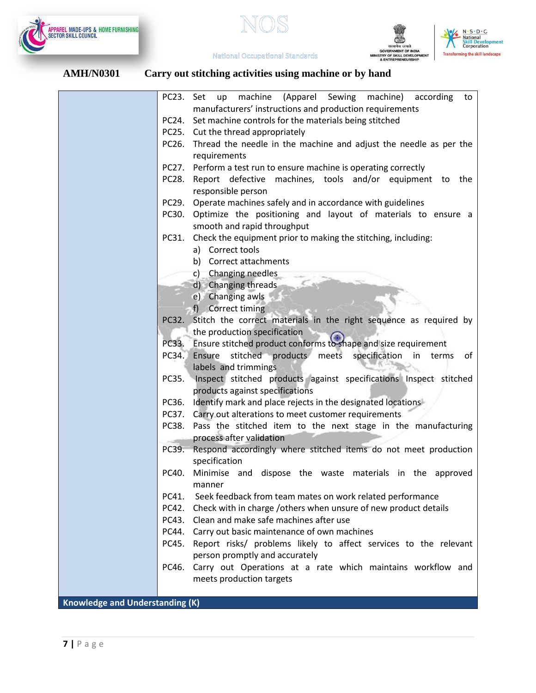

सत्यमेव जयते<br>GOVERNMENT OF INDIA<br>MINISTRY OF SKILL DEVELOPI<br>& ENTREPRENEURSHIP



**National Occupational Standards** 

|                                        | PC23. Set up machine (Apparel Sewing machine) according<br>to                                        |
|----------------------------------------|------------------------------------------------------------------------------------------------------|
|                                        | manufacturers' instructions and production requirements                                              |
|                                        | PC24. Set machine controls for the materials being stitched                                          |
|                                        | PC25. Cut the thread appropriately                                                                   |
| PC26.                                  | Thread the needle in the machine and adjust the needle as per the                                    |
|                                        | requirements                                                                                         |
| PC27.                                  | Perform a test run to ensure machine is operating correctly                                          |
| PC28.                                  | Report defective machines, tools and/or equipment to the<br>responsible person                       |
|                                        | PC29. Operate machines safely and in accordance with guidelines                                      |
| PC30.                                  | Optimize the positioning and layout of materials to ensure a                                         |
|                                        | smooth and rapid throughput                                                                          |
| PC31.                                  | Check the equipment prior to making the stitching, including:                                        |
|                                        | a) Correct tools                                                                                     |
|                                        | b) Correct attachments                                                                               |
|                                        | c) Changing needles                                                                                  |
|                                        | d) Changing threads                                                                                  |
|                                        | e) Changing awls                                                                                     |
|                                        | f) Correct timing                                                                                    |
|                                        | PC32. Stitch the correct materials in the right sequence as required by                              |
|                                        | the production specification                                                                         |
|                                        | PC33. Ensure stitched product conforms to shape and size requirement                                 |
| PC34.                                  | Ensure stitched products meets specification<br>of<br>in<br>terms                                    |
|                                        | labels and trimmings                                                                                 |
| PC35.                                  | Inspect stitched products against specifications Inspect stitched<br>products against specifications |
|                                        | PC36. Identify mark and place rejects in the designated locations                                    |
|                                        | PC37. Carry out alterations to meet customer requirements                                            |
|                                        | PC38. Pass the stitched item to the next stage in the manufacturing                                  |
|                                        | process after validation                                                                             |
| PC39.                                  | Respond accordingly where stitched items do not meet production                                      |
|                                        | specification                                                                                        |
|                                        | PC40. Minimise and dispose the waste materials in the approved<br>manner                             |
| PC41.                                  | Seek feedback from team mates on work related performance                                            |
| PC42.                                  | Check with in charge /others when unsure of new product details                                      |
| PC43.                                  | Clean and make safe machines after use                                                               |
| PC44.                                  | Carry out basic maintenance of own machines                                                          |
| PC45.                                  | Report risks/ problems likely to affect services to the relevant                                     |
|                                        | person promptly and accurately                                                                       |
| PC46.                                  | Carry out Operations at a rate which maintains workflow and                                          |
|                                        | meets production targets                                                                             |
|                                        |                                                                                                      |
| <b>Knowledge and Understanding (K)</b> |                                                                                                      |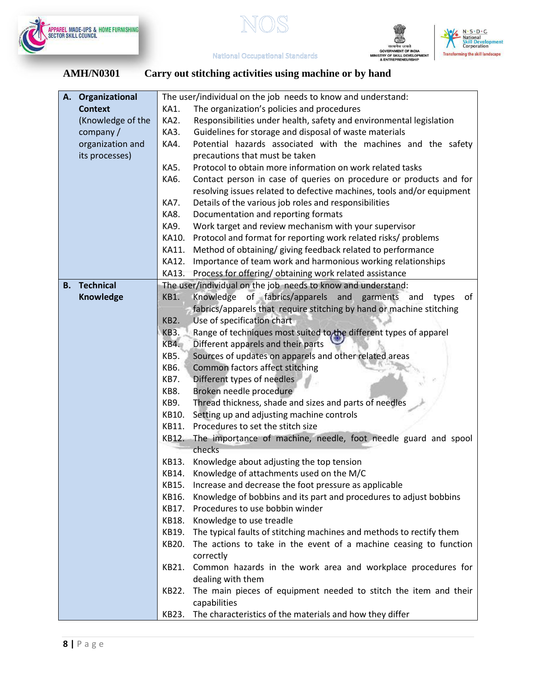



सत्यमेव जयते<br>GOVERNMENT OF INDIA<br>MINISTRY OF SKILL DEVELOPI<br>& ENTREPRENEURSHIP



**National Occupational Standards** 

| Organizational<br>А. | The user/individual on the job needs to know and understand:                                                 |  |  |  |
|----------------------|--------------------------------------------------------------------------------------------------------------|--|--|--|
| <b>Context</b>       | The organization's policies and procedures<br>KA1.                                                           |  |  |  |
| (Knowledge of the    | Responsibilities under health, safety and environmental legislation<br>KA2.                                  |  |  |  |
| company $/$          | Guidelines for storage and disposal of waste materials<br>KA3.                                               |  |  |  |
| organization and     | Potential hazards associated with the machines and the safety<br>KA4.                                        |  |  |  |
| its processes)       | precautions that must be taken                                                                               |  |  |  |
|                      | <b>KA5.</b><br>Protocol to obtain more information on work related tasks                                     |  |  |  |
|                      | Contact person in case of queries on procedure or products and for<br>KA6.                                   |  |  |  |
|                      | resolving issues related to defective machines, tools and/or equipment                                       |  |  |  |
|                      | KA7.<br>Details of the various job roles and responsibilities                                                |  |  |  |
|                      | KA8.<br>Documentation and reporting formats                                                                  |  |  |  |
|                      | Work target and review mechanism with your supervisor<br>KA9.                                                |  |  |  |
|                      | Protocol and format for reporting work related risks/ problems<br>KA10.                                      |  |  |  |
|                      | KA11.<br>Method of obtaining/ giving feedback related to performance                                         |  |  |  |
|                      | KA12.<br>Importance of team work and harmonious working relationships                                        |  |  |  |
|                      | Process for offering/obtaining work related assistance<br>KA13.                                              |  |  |  |
| <b>B.</b> Technical  | The user/individual on the job needs to know and understand:                                                 |  |  |  |
| Knowledge            | of fabrics/apparels and garments and<br>Knowledge<br>KB1.<br>οf<br>types                                     |  |  |  |
|                      | fabrics/apparels that require stitching by hand or machine stitching                                         |  |  |  |
|                      | KB <sub>2</sub> .<br>Use of specification chart                                                              |  |  |  |
|                      | Range of techniques most suited to the different types of apparel<br><b>KB3.</b>                             |  |  |  |
|                      | <b>KB4.</b><br>Different apparels and their parts                                                            |  |  |  |
|                      | Sources of updates on apparels and other related areas<br>KB5.                                               |  |  |  |
|                      | KB6.<br>Common factors affect stitching                                                                      |  |  |  |
|                      | KB7.<br>Different types of needles                                                                           |  |  |  |
|                      | KB8.<br>Broken needle procedure<br>KB9.                                                                      |  |  |  |
|                      | Thread thickness, shade and sizes and parts of needles<br>Setting up and adjusting machine controls<br>KB10. |  |  |  |
|                      | Procedures to set the stitch size<br>KB11.                                                                   |  |  |  |
|                      | The importance of machine, needle, foot needle guard and spool<br>KB12.                                      |  |  |  |
|                      | checks                                                                                                       |  |  |  |
|                      | KB13.<br>Knowledge about adjusting the top tension                                                           |  |  |  |
|                      | KB14. Knowledge of attachments used on the M/C                                                               |  |  |  |
|                      | KB15.<br>Increase and decrease the foot pressure as applicable                                               |  |  |  |
|                      | Knowledge of bobbins and its part and procedures to adjust bobbins<br>KB16.                                  |  |  |  |
|                      | Procedures to use bobbin winder<br>KB17.                                                                     |  |  |  |
|                      | Knowledge to use treadle<br>KB18.                                                                            |  |  |  |
|                      | The typical faults of stitching machines and methods to rectify them<br>KB19.                                |  |  |  |
|                      | The actions to take in the event of a machine ceasing to function<br>KB20.                                   |  |  |  |
|                      | correctly                                                                                                    |  |  |  |
|                      | Common hazards in the work area and workplace procedures for<br>KB21.                                        |  |  |  |
|                      | dealing with them                                                                                            |  |  |  |
|                      | The main pieces of equipment needed to stitch the item and their<br>KB22.                                    |  |  |  |
|                      | capabilities                                                                                                 |  |  |  |
|                      | The characteristics of the materials and how they differ<br>KB23.                                            |  |  |  |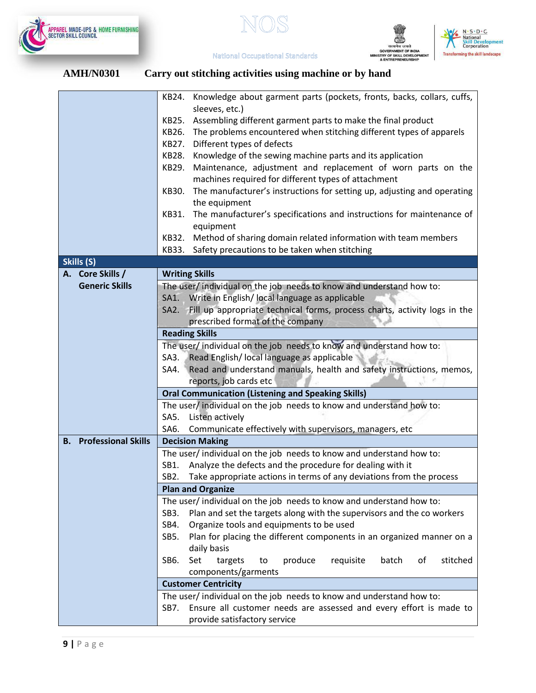





|                               | KB24. Knowledge about garment parts (pockets, fronts, backs, collars, cuffs,                               |  |  |  |  |  |
|-------------------------------|------------------------------------------------------------------------------------------------------------|--|--|--|--|--|
|                               | sleeves, etc.)                                                                                             |  |  |  |  |  |
|                               | KB25.<br>Assembling different garment parts to make the final product                                      |  |  |  |  |  |
|                               | The problems encountered when stitching different types of apparels<br>KB26.                               |  |  |  |  |  |
|                               | Different types of defects<br>KB27.                                                                        |  |  |  |  |  |
|                               | Knowledge of the sewing machine parts and its application<br>KB28.                                         |  |  |  |  |  |
|                               | Maintenance, adjustment and replacement of worn parts on the<br>KB29.                                      |  |  |  |  |  |
|                               | machines required for different types of attachment                                                        |  |  |  |  |  |
|                               | The manufacturer's instructions for setting up, adjusting and operating<br>KB30.                           |  |  |  |  |  |
|                               | the equipment                                                                                              |  |  |  |  |  |
|                               | The manufacturer's specifications and instructions for maintenance of<br>KB31.                             |  |  |  |  |  |
|                               | equipment                                                                                                  |  |  |  |  |  |
|                               | Method of sharing domain related information with team members<br>KB32.                                    |  |  |  |  |  |
|                               | Safety precautions to be taken when stitching<br>KB33.                                                     |  |  |  |  |  |
| Skills (S)                    |                                                                                                            |  |  |  |  |  |
| A. Core Skills /              | <b>Writing Skills</b>                                                                                      |  |  |  |  |  |
| <b>Generic Skills</b>         | The user/ individual on the job needs to know and understand how to:                                       |  |  |  |  |  |
|                               | SA1. Write in English/local language as applicable                                                         |  |  |  |  |  |
|                               | SA2. Fill up appropriate technical forms, process charts, activity logs in the                             |  |  |  |  |  |
|                               | prescribed format of the company                                                                           |  |  |  |  |  |
|                               | <b>Reading Skills</b>                                                                                      |  |  |  |  |  |
|                               | The user/ individual on the job needs to know and understand how to:                                       |  |  |  |  |  |
|                               | SA3. Read English/ local language as applicable                                                            |  |  |  |  |  |
|                               | Read and understand manuals, health and safety instructions, memos,<br>SA4.                                |  |  |  |  |  |
|                               | reports, job cards etc                                                                                     |  |  |  |  |  |
|                               | <b>Oral Communication (Listening and Speaking Skills)</b>                                                  |  |  |  |  |  |
|                               | The user/ individual on the job needs to know and understand how to:                                       |  |  |  |  |  |
|                               | Listen actively<br>SA5.                                                                                    |  |  |  |  |  |
|                               | SA6.<br>Communicate effectively with supervisors, managers, etc                                            |  |  |  |  |  |
| <b>B.</b> Professional Skills | <b>Decision Making</b>                                                                                     |  |  |  |  |  |
|                               | The user/ individual on the job needs to know and understand how to:                                       |  |  |  |  |  |
|                               | Analyze the defects and the procedure for dealing with it<br>SB1.                                          |  |  |  |  |  |
|                               | Take appropriate actions in terms of any deviations from the process<br>SB <sub>2</sub> .                  |  |  |  |  |  |
|                               | <b>Plan and Organize</b>                                                                                   |  |  |  |  |  |
|                               | The user/individual on the job needs to know and understand how to:                                        |  |  |  |  |  |
|                               | Plan and set the targets along with the supervisors and the co workers<br>SB3.                             |  |  |  |  |  |
|                               | Organize tools and equipments to be used<br>SB4.                                                           |  |  |  |  |  |
|                               | Plan for placing the different components in an organized manner on a<br>SB5.                              |  |  |  |  |  |
|                               | daily basis                                                                                                |  |  |  |  |  |
|                               | Set<br>produce<br>batch<br>of<br>stitched<br>SB6.<br>targets<br>requisite<br>to                            |  |  |  |  |  |
|                               | components/garments                                                                                        |  |  |  |  |  |
|                               | <b>Customer Centricity</b>                                                                                 |  |  |  |  |  |
|                               | The user/ individual on the job needs to know and understand how to:                                       |  |  |  |  |  |
|                               |                                                                                                            |  |  |  |  |  |
|                               | Ensure all customer needs are assessed and every effort is made to<br>SB7.<br>provide satisfactory service |  |  |  |  |  |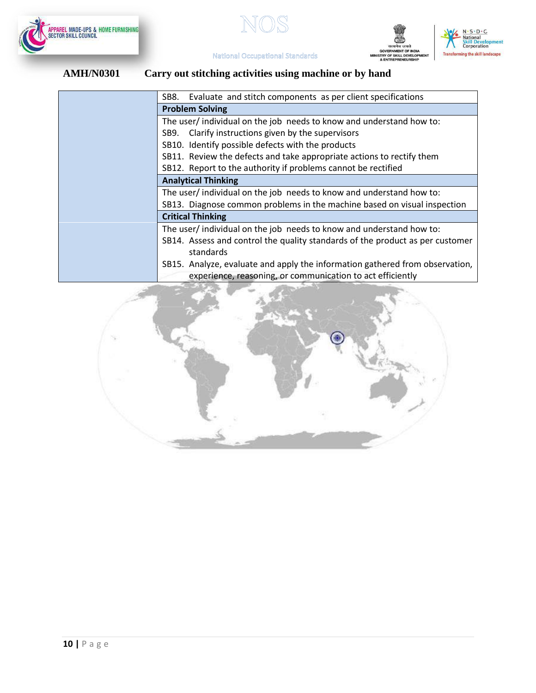







|                                                                              | Evaluate and stitch components as per client specifications<br>SB8.           |  |  |  |
|------------------------------------------------------------------------------|-------------------------------------------------------------------------------|--|--|--|
|                                                                              | <b>Problem Solving</b>                                                        |  |  |  |
|                                                                              | The user/individual on the job needs to know and understand how to:           |  |  |  |
|                                                                              | Clarify instructions given by the supervisors<br>SB9.                         |  |  |  |
|                                                                              | SB10. Identify possible defects with the products                             |  |  |  |
|                                                                              | SB11. Review the defects and take appropriate actions to rectify them         |  |  |  |
|                                                                              | SB12. Report to the authority if problems cannot be rectified                 |  |  |  |
|                                                                              | <b>Analytical Thinking</b>                                                    |  |  |  |
|                                                                              | The user/individual on the job needs to know and understand how to:           |  |  |  |
|                                                                              | SB13. Diagnose common problems in the machine based on visual inspection      |  |  |  |
|                                                                              | <b>Critical Thinking</b>                                                      |  |  |  |
|                                                                              | The user/individual on the job needs to know and understand how to:           |  |  |  |
|                                                                              | SB14. Assess and control the quality standards of the product as per customer |  |  |  |
|                                                                              | standards                                                                     |  |  |  |
| SB15. Analyze, evaluate and apply the information gathered from observation, |                                                                               |  |  |  |
| experience, reasoning, or communication to act efficiently                   |                                                                               |  |  |  |

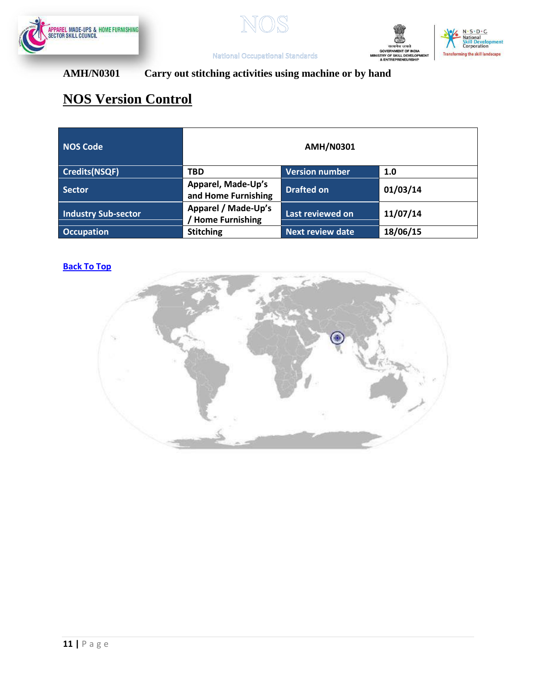







# **AMH/N0301 Carry out stitching activities using machine or by hand**

# **NOS Version Control**

| <b>NOS Code</b>            | <b>AMH/N0301</b>                          |                         |          |
|----------------------------|-------------------------------------------|-------------------------|----------|
| Credits(NSQF)              | <b>TBD</b>                                | <b>Version number</b>   | 1.0      |
| Sector                     | Apparel, Made-Up's<br>and Home Furnishing | <b>Drafted on</b>       | 01/03/14 |
| <b>Industry Sub-sector</b> | Apparel / Made-Up's<br>/ Home Furnishing  | Last reviewed on        | 11/07/14 |
| <b>Occupation</b>          | <b>Stitching</b>                          | <b>Next review date</b> | 18/06/15 |

# **[Back To Top](#page-1-1)**

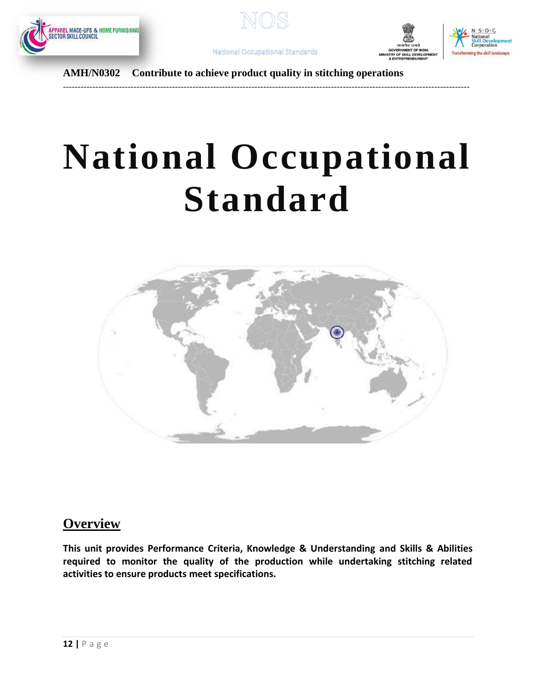







**AMH/N0302 Contribute to achieve product quality in stitching operations**

### <span id="page-11-0"></span>------------------------------------------------------------------------------------------------------------------------------------------

# **National Occupational Standard**



# **Overview**

**This unit provides Performance Criteria, Knowledge & Understanding and Skills & Abilities required to monitor the quality of the production while undertaking stitching related activities to ensure products meet specifications.**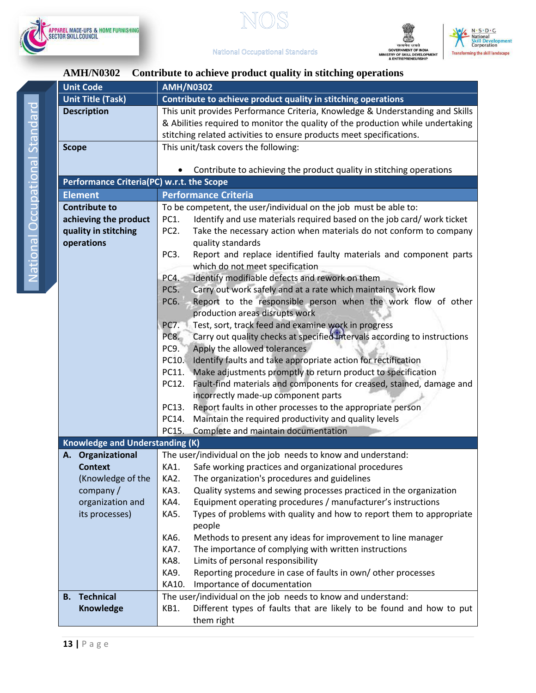





## **AMH/N0302 Contribute to achieve product quality in stitching operations**

| <b>Unit Code</b>                          | <b>AMH/N0302</b>                                                                        |  |
|-------------------------------------------|-----------------------------------------------------------------------------------------|--|
| <b>Unit Title (Task)</b>                  | Contribute to achieve product quality in stitching operations                           |  |
| <b>Description</b>                        | This unit provides Performance Criteria, Knowledge & Understanding and Skills           |  |
|                                           | & Abilities required to monitor the quality of the production while undertaking         |  |
|                                           | stitching related activities to ensure products meet specifications.                    |  |
| <b>Scope</b>                              | This unit/task covers the following:                                                    |  |
|                                           |                                                                                         |  |
|                                           | Contribute to achieving the product quality in stitching operations                     |  |
| Performance Criteria(PC) w.r.t. the Scope |                                                                                         |  |
| <b>Element</b>                            | <b>Performance Criteria</b>                                                             |  |
| <b>Contribute to</b>                      | To be competent, the user/individual on the job must be able to:                        |  |
| achieving the product                     | PC1.<br>Identify and use materials required based on the job card/ work ticket          |  |
| quality in stitching                      | PC <sub>2</sub> .<br>Take the necessary action when materials do not conform to company |  |
| operations                                | quality standards                                                                       |  |
|                                           | PC <sub>3</sub> .<br>Report and replace identified faulty materials and component parts |  |
|                                           | which do not meet specification                                                         |  |
|                                           | Identify modifiable defects and rework on them<br>PC4.                                  |  |
|                                           | Carry out work safely and at a rate which maintains work flow<br>PC5.                   |  |
|                                           | PC6.<br>Report to the responsible person when the work flow of other                    |  |
|                                           | production areas disrupts work                                                          |  |
|                                           | Test, sort, track feed and examine work in progress<br>PC7.                             |  |
|                                           | Carry out quality checks at specified intervals according to instructions<br>PC8.       |  |
|                                           | PC9.<br>Apply the allowed tolerances                                                    |  |
|                                           | Identify faults and take appropriate action for rectification<br>PC10.                  |  |
|                                           | PC11.<br>Make adjustments promptly to return product to specification                   |  |
|                                           | Fault-find materials and components for creased, stained, damage and<br>PC12.           |  |
|                                           | incorrectly made-up component parts                                                     |  |
|                                           | PC13.<br>Report faults in other processes to the appropriate person                     |  |
|                                           | PC14.<br>Maintain the required productivity and quality levels                          |  |
|                                           | PC15.<br>Complete and maintain documentation                                            |  |
| <b>Knowledge and Understanding (K)</b>    |                                                                                         |  |
| A. Organizational                         | The user/individual on the job needs to know and understand:                            |  |
| <b>Context</b>                            | Safe working practices and organizational procedures<br>KA1.                            |  |
| (Knowledge of the                         | KA2.<br>The organization's procedures and guidelines                                    |  |
| company/                                  | KA3.<br>Quality systems and sewing processes practiced in the organization              |  |
| organization and                          | Equipment operating procedures / manufacturer's instructions<br>KA4.                    |  |
| its processes)                            | Types of problems with quality and how to report them to appropriate<br>KA5.            |  |
|                                           | people                                                                                  |  |
|                                           | Methods to present any ideas for improvement to line manager<br>KA6.                    |  |
|                                           | KA7.<br>The importance of complying with written instructions                           |  |
|                                           | Limits of personal responsibility<br>KA8.                                               |  |
|                                           | Reporting procedure in case of faults in own/ other processes<br>KA9.                   |  |
|                                           | Importance of documentation<br>KA10.                                                    |  |
| <b>B.</b> Technical                       | The user/individual on the job needs to know and understand:                            |  |
| Knowledge                                 | Different types of faults that are likely to be found and how to put<br>KB1.            |  |
|                                           | them right                                                                              |  |
|                                           |                                                                                         |  |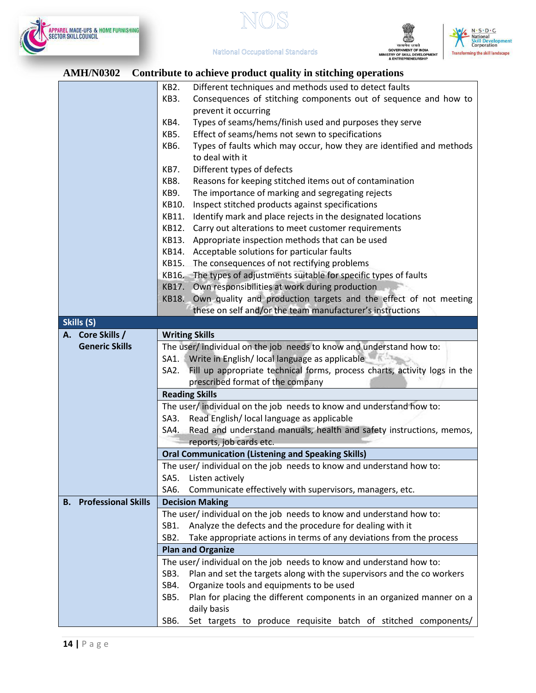







## **AMH/N0302 Contribute to achieve product quality in stitching operations**

| AIJIII/I VUU <i>u</i>                   | Contribute to active product quality in stitching operations                              |  |
|-----------------------------------------|-------------------------------------------------------------------------------------------|--|
|                                         | Different techniques and methods used to detect faults<br>KB2.                            |  |
|                                         | KB3.<br>Consequences of stitching components out of sequence and how to                   |  |
|                                         | prevent it occurring                                                                      |  |
|                                         | Types of seams/hems/finish used and purposes they serve<br>KB4.                           |  |
|                                         | Effect of seams/hems not sewn to specifications<br>KB5.                                   |  |
|                                         | Types of faults which may occur, how they are identified and methods<br>KB6.              |  |
|                                         | to deal with it                                                                           |  |
|                                         | KB7.<br>Different types of defects                                                        |  |
|                                         | Reasons for keeping stitched items out of contamination<br>KB8.                           |  |
|                                         | The importance of marking and segregating rejects<br>KB9.                                 |  |
|                                         | Inspect stitched products against specifications<br>KB10.                                 |  |
|                                         |                                                                                           |  |
|                                         | Identify mark and place rejects in the designated locations<br>KB11.                      |  |
|                                         | Carry out alterations to meet customer requirements<br>KB12.                              |  |
|                                         | KB13.<br>Appropriate inspection methods that can be used                                  |  |
|                                         | KB14. Acceptable solutions for particular faults                                          |  |
|                                         | KB15. The consequences of not rectifying problems                                         |  |
|                                         | KB16. The types of adjustments suitable for specific types of faults                      |  |
|                                         | KB17. Own responsibilities at work during production                                      |  |
|                                         | Own quality and production targets and the effect of not meeting<br><b>KB18.</b>          |  |
|                                         | these on self and/or the team manufacturer's instructions                                 |  |
| Skills (S)                              |                                                                                           |  |
| A. Core Skills /                        | <b>Writing Skills</b>                                                                     |  |
| <b>Generic Skills</b>                   | The user/ individual on the job needs to know and understand how to:                      |  |
|                                         | SA1. Write in English/ local language as applicable                                       |  |
|                                         | SA2. Fill up appropriate technical forms, process charts, activity logs in the            |  |
|                                         | prescribed format of the company                                                          |  |
|                                         | <b>Reading Skills</b>                                                                     |  |
|                                         | The user/ individual on the job needs to know and understand how to:                      |  |
|                                         | SA3. Read English/Iocal language as applicable                                            |  |
|                                         | SA4. Read and understand manuals, health and safety instructions, memos,                  |  |
|                                         | reports, job cards etc.                                                                   |  |
|                                         | <b>Oral Communication (Listening and Speaking Skills)</b>                                 |  |
|                                         |                                                                                           |  |
|                                         | The user/ individual on the job needs to know and understand how to:                      |  |
|                                         | Listen actively<br>SA5.                                                                   |  |
|                                         | SA6.<br>Communicate effectively with supervisors, managers, etc.                          |  |
| <b>Professional Skills</b><br><b>B.</b> | <b>Decision Making</b>                                                                    |  |
|                                         | The user/ individual on the job needs to know and understand how to:                      |  |
|                                         |                                                                                           |  |
|                                         | Analyze the defects and the procedure for dealing with it<br>SB1.                         |  |
|                                         | Take appropriate actions in terms of any deviations from the process<br>SB <sub>2</sub> . |  |
|                                         | <b>Plan and Organize</b>                                                                  |  |
|                                         | The user/individual on the job needs to know and understand how to:                       |  |
|                                         | SB <sub>3</sub> .                                                                         |  |
|                                         | Plan and set the targets along with the supervisors and the co workers                    |  |
|                                         | Organize tools and equipments to be used<br>SB4.                                          |  |
|                                         | SB5.<br>Plan for placing the different components in an organized manner on a             |  |
|                                         | daily basis<br>SB6.<br>Set targets to produce requisite batch of stitched components/     |  |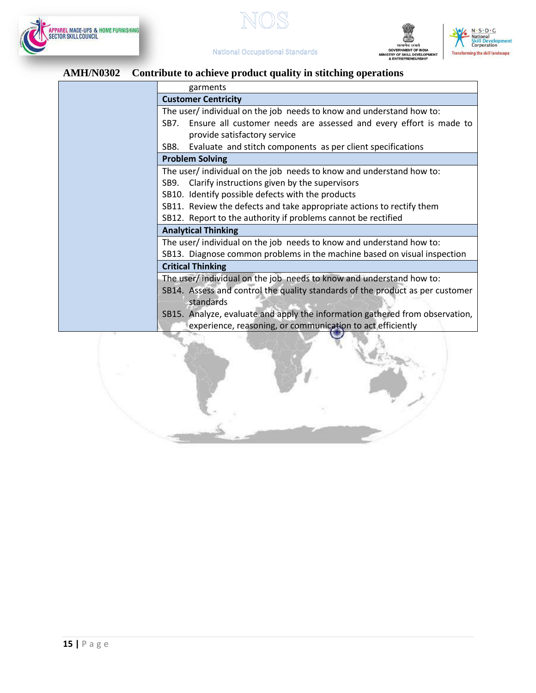







# **AMH/N0302 Contribute to achieve product quality in stitching operations**

| garments                                                                      |
|-------------------------------------------------------------------------------|
| <b>Customer Centricity</b>                                                    |
| The user/individual on the job needs to know and understand how to:           |
| SB7. Ensure all customer needs are assessed and every effort is made to       |
| provide satisfactory service                                                  |
| Evaluate and stitch components as per client specifications<br>SB8.           |
| <b>Problem Solving</b>                                                        |
| The user/ individual on the job needs to know and understand how to:          |
| Clarify instructions given by the supervisors<br>SB9.                         |
| SB10. Identify possible defects with the products                             |
| SB11. Review the defects and take appropriate actions to rectify them         |
| SB12. Report to the authority if problems cannot be rectified                 |
| <b>Analytical Thinking</b>                                                    |
| The user/individual on the job needs to know and understand how to:           |
| SB13. Diagnose common problems in the machine based on visual inspection      |
| <b>Critical Thinking</b>                                                      |
| The user/ individual on the job needs to know and understand how to:          |
| SB14. Assess and control the quality standards of the product as per customer |
| standards                                                                     |
| SB15. Analyze, evaluate and apply the information gathered from observation,  |
| experience, reasoning, or communication to act efficiently                    |
|                                                                               |
|                                                                               |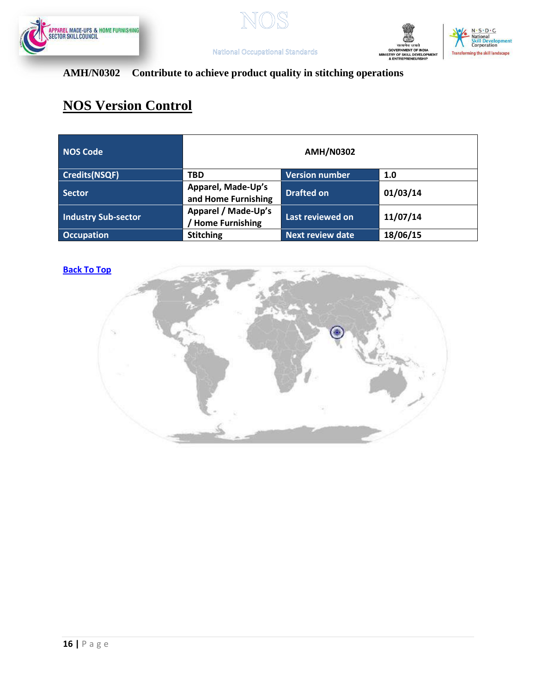







# **AMH/N0302 Contribute to achieve product quality in stitching operations**

# **NOS Version Control**

| NOS Code                   | <b>AMH/N0302</b>                              |                         |          |
|----------------------------|-----------------------------------------------|-------------------------|----------|
| Credits(NSQF)              | <b>TBD</b>                                    | <b>Version number</b>   | 1.0      |
| Sector                     | Apparel, Made-Up's<br>and Home Furnishing     | <b>Drafted on</b>       | 01/03/14 |
| <b>Industry Sub-sector</b> | Apparel / Made-Up's<br><b>Home Furnishing</b> | Last reviewed on        | 11/07/14 |
| <b>Occupation</b>          | <b>Stitching</b>                              | <b>Next review date</b> | 18/06/15 |

### **[Back To Top](#page-1-1)**

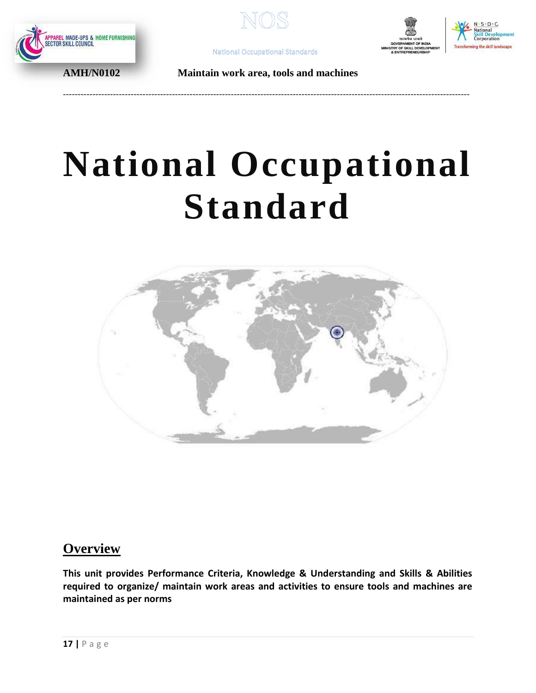







**AMH/N0102 Maintain work area, tools and machines**

<span id="page-16-0"></span>------------------------------------------------------------------------------------------------------------------------------------------

# **National Occupational Standard**



# **Overview**

**This unit provides Performance Criteria, Knowledge & Understanding and Skills & Abilities required to organize/ maintain work areas and activities to ensure tools and machines are maintained as per norms**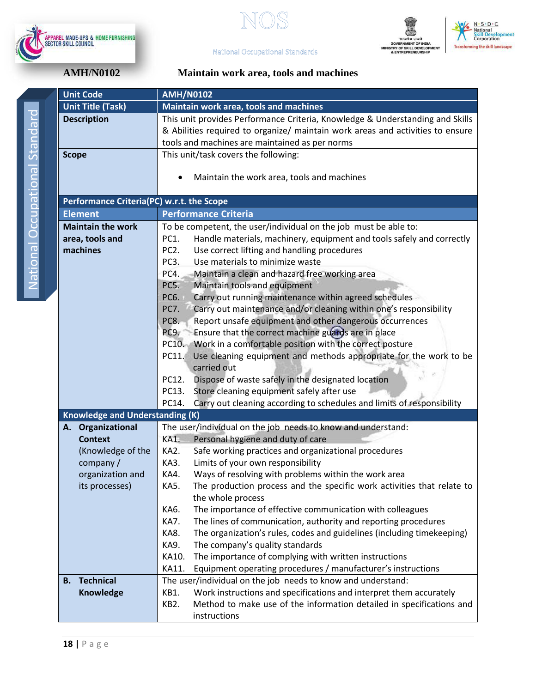







# **AMH/N0102**

| Maintain work area, tools and machines |  |  |
|----------------------------------------|--|--|
|----------------------------------------|--|--|

| <b>Unit Code</b>                          | <b>AMH/N0102</b>                                                                                                                            |  |
|-------------------------------------------|---------------------------------------------------------------------------------------------------------------------------------------------|--|
| <b>Unit Title (Task)</b>                  | Maintain work area, tools and machines                                                                                                      |  |
| <b>Description</b>                        | This unit provides Performance Criteria, Knowledge & Understanding and Skills                                                               |  |
|                                           | & Abilities required to organize/ maintain work areas and activities to ensure                                                              |  |
|                                           | tools and machines are maintained as per norms                                                                                              |  |
| <b>Scope</b>                              | This unit/task covers the following:                                                                                                        |  |
|                                           |                                                                                                                                             |  |
|                                           | Maintain the work area, tools and machines                                                                                                  |  |
|                                           |                                                                                                                                             |  |
| Performance Criteria(PC) w.r.t. the Scope |                                                                                                                                             |  |
| <b>Element</b>                            | <b>Performance Criteria</b>                                                                                                                 |  |
| <b>Maintain the work</b>                  | To be competent, the user/individual on the job must be able to:                                                                            |  |
| area, tools and                           | PC1.<br>Handle materials, machinery, equipment and tools safely and correctly                                                               |  |
| machines                                  | Use correct lifting and handling procedures<br>PC <sub>2</sub> .                                                                            |  |
|                                           | Use materials to minimize waste<br>PC <sub>3</sub> .                                                                                        |  |
|                                           | PC4.<br>Maintain a clean and hazard free working area                                                                                       |  |
|                                           | PC5.<br>Maintain tools and equipment                                                                                                        |  |
|                                           | Carry out running maintenance within agreed schedules<br>PC6.                                                                               |  |
|                                           | Carry out maintenance and/or cleaning within one's responsibility<br>PC7.                                                                   |  |
|                                           | Report unsafe equipment and other dangerous occurrences<br>PC8.                                                                             |  |
|                                           | Ensure that the correct machine guards are in place<br>PC9.                                                                                 |  |
|                                           | PC10. Work in a comfortable position with the correct posture<br>Use cleaning equipment and methods appropriate for the work to be<br>PC11. |  |
|                                           | carried out                                                                                                                                 |  |
|                                           | PC12.<br>Dispose of waste safely in the designated location                                                                                 |  |
|                                           | PC13.<br>Store cleaning equipment safely after use                                                                                          |  |
|                                           | PC14.<br>Carry out cleaning according to schedules and limits of responsibility                                                             |  |
| <b>Knowledge and Understanding (K)</b>    |                                                                                                                                             |  |
| A. Organizational                         | The user/individual on the job needs to know and understand:                                                                                |  |
| <b>Context</b>                            | Personal hygiene and duty of care<br>KA1.                                                                                                   |  |
| (Knowledge of the                         | Safe working practices and organizational procedures<br>KA2.                                                                                |  |
| company/                                  | KA3.<br>Limits of your own responsibility                                                                                                   |  |
| organization and                          | Ways of resolving with problems within the work area<br>KA4.                                                                                |  |
| its processes)                            | <b>KA5.</b><br>The production process and the specific work activities that relate to                                                       |  |
|                                           | the whole process                                                                                                                           |  |
|                                           | The importance of effective communication with colleagues<br>KA6.                                                                           |  |
|                                           | The lines of communication, authority and reporting procedures<br>KA7.                                                                      |  |
|                                           | The organization's rules, codes and guidelines (including timekeeping)<br>KA8.                                                              |  |
|                                           | KA9.<br>The company's quality standards                                                                                                     |  |
|                                           | KA10.<br>The importance of complying with written instructions                                                                              |  |
|                                           | Equipment operating procedures / manufacturer's instructions<br>KA11.                                                                       |  |
| <b>Technical</b><br><b>B.</b>             | The user/individual on the job needs to know and understand:                                                                                |  |
| Knowledge                                 | Work instructions and specifications and interpret them accurately<br>KB1.                                                                  |  |
|                                           | KB2.<br>Method to make use of the information detailed in specifications and                                                                |  |
|                                           | instructions                                                                                                                                |  |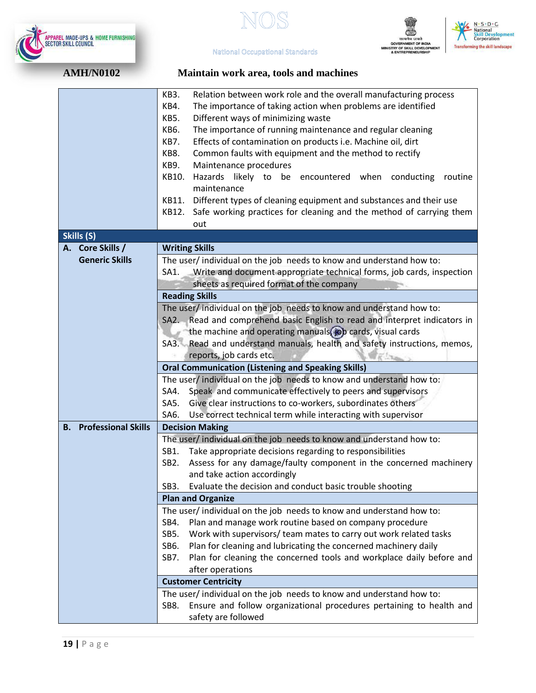





 $-S \cdot D \cdot C$ **National**<br>**Skill Development**<br>Corporation

**National Occupational Standards** 

| AMH/N0102 |  |
|-----------|--|
|           |  |

# **AMH/N0102 Maintain work area, tools and machines**

|                                         | <b>KB3.</b><br>Relation between work role and the overall manufacturing process        |  |
|-----------------------------------------|----------------------------------------------------------------------------------------|--|
|                                         | The importance of taking action when problems are identified<br>KB4.                   |  |
|                                         | KB5.<br>Different ways of minimizing waste                                             |  |
|                                         | <b>KB6.</b><br>The importance of running maintenance and regular cleaning              |  |
|                                         | KB7.<br>Effects of contamination on products i.e. Machine oil, dirt                    |  |
|                                         | KB8.<br>Common faults with equipment and the method to rectify                         |  |
|                                         | KB9.<br>Maintenance procedures                                                         |  |
|                                         | KB10.<br>Hazards likely to be encountered when<br>conducting<br>routine<br>maintenance |  |
|                                         | KB11.<br>Different types of cleaning equipment and substances and their use            |  |
|                                         | Safe working practices for cleaning and the method of carrying them                    |  |
|                                         | KB12.<br>out                                                                           |  |
| Skills (S)                              |                                                                                        |  |
| A. Core Skills /                        | <b>Writing Skills</b>                                                                  |  |
| <b>Generic Skills</b>                   | The user/ individual on the job needs to know and understand how to:                   |  |
|                                         | Write and document appropriate technical forms, job cards, inspection<br>SA1.          |  |
|                                         | sheets as required format of the company                                               |  |
|                                         | <b>Reading Skills</b>                                                                  |  |
|                                         | The user/individual on the job needs to know and understand how to:                    |  |
|                                         | SA2. Read and comprehend basic English to read and interpret indicators in             |  |
|                                         | the machine and operating manuals, job cards, visual cards                             |  |
|                                         | SA3. Read and understand manuals, health and safety instructions, memos,               |  |
|                                         | reports, job cards etc.                                                                |  |
|                                         | <b>Oral Communication (Listening and Speaking Skills)</b>                              |  |
|                                         | The user/individual on the job needs to know and understand how to:                    |  |
|                                         | Speak and communicate effectively to peers and supervisors<br>SA4.                     |  |
|                                         | Give clear instructions to co-workers, subordinates others<br>SA5.                     |  |
|                                         | SA6.<br>Use correct technical term while interacting with supervisor                   |  |
| <b>Professional Skills</b><br><b>B.</b> | <b>Decision Making</b>                                                                 |  |
|                                         | The user/ individual on the job needs to know and understand how to:                   |  |
|                                         | Take appropriate decisions regarding to responsibilities<br>SB1.                       |  |
|                                         | Assess for any damage/faulty component in the concerned machinery<br>SB <sub>2</sub> . |  |
|                                         | and take action accordingly                                                            |  |
|                                         | SB3.<br>Evaluate the decision and conduct basic trouble shooting                       |  |
|                                         | <b>Plan and Organize</b>                                                               |  |
|                                         | The user/individual on the job needs to know and understand how to:                    |  |
|                                         | Plan and manage work routine based on company procedure<br>SB4.                        |  |
|                                         | Work with supervisors/ team mates to carry out work related tasks<br>SB5.              |  |
|                                         | Plan for cleaning and lubricating the concerned machinery daily<br>SB6.                |  |
|                                         | Plan for cleaning the concerned tools and workplace daily before and<br>SB7.           |  |
|                                         | after operations                                                                       |  |
|                                         | <b>Customer Centricity</b>                                                             |  |
|                                         | The user/ individual on the job needs to know and understand how to:                   |  |
|                                         | Ensure and follow organizational procedures pertaining to health and<br>SB8.           |  |
|                                         | safety are followed                                                                    |  |
|                                         |                                                                                        |  |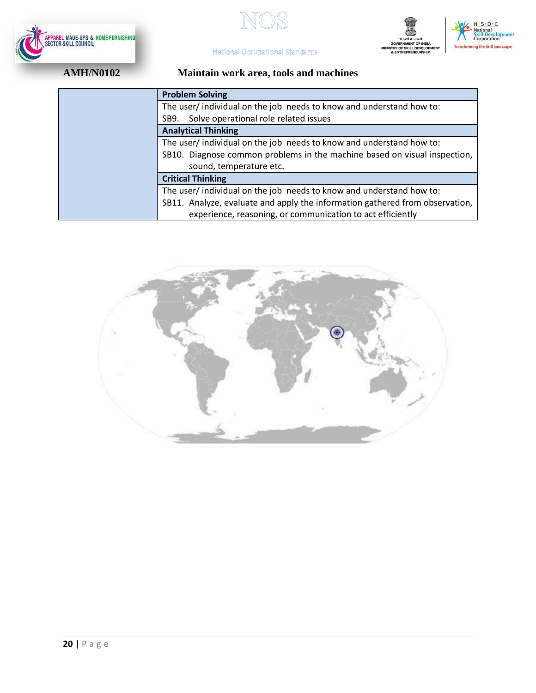







# **AMH/N0102 Maintain work area, tools and machines**

| <b>Problem Solving</b>                                                       |
|------------------------------------------------------------------------------|
| The user/individual on the job needs to know and understand how to:          |
| Solve operational role related issues<br>SB9.                                |
| <b>Analytical Thinking</b>                                                   |
| The user/individual on the job needs to know and understand how to:          |
| SB10. Diagnose common problems in the machine based on visual inspection,    |
| sound, temperature etc.                                                      |
| <b>Critical Thinking</b>                                                     |
| The user/individual on the job needs to know and understand how to:          |
| SB11. Analyze, evaluate and apply the information gathered from observation, |
| experience, reasoning, or communication to act efficiently                   |

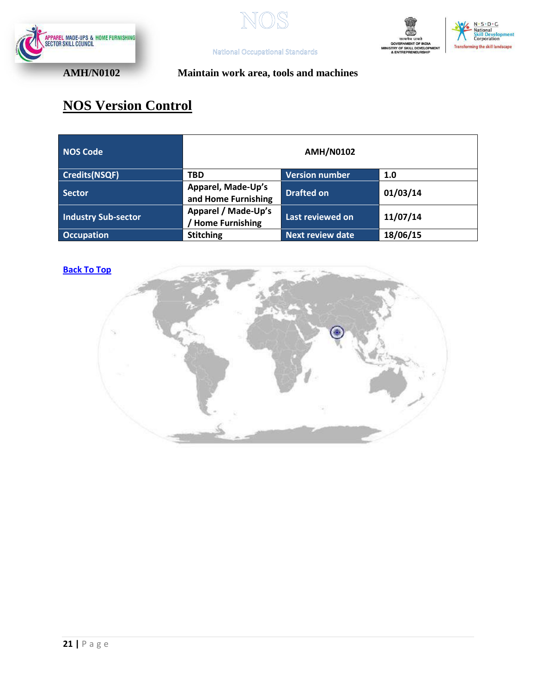







# **AMH/N0102 Maintain work area, tools and machines**

# **NOS Version Control**

| NOS Code                   |                                               | <b>AMH/N0102</b>        |          |
|----------------------------|-----------------------------------------------|-------------------------|----------|
| Credits(NSQF)              | <b>TBD</b>                                    | <b>Version number</b>   | 1.0      |
| <b>Sector</b>              | Apparel, Made-Up's<br>and Home Furnishing     | <b>Drafted on</b>       | 01/03/14 |
| <b>Industry Sub-sector</b> | Apparel / Made-Up's<br><b>Home Furnishing</b> | Last reviewed on        | 11/07/14 |
| <b>Occupation</b>          | <b>Stitching</b>                              | <b>Next review date</b> | 18/06/15 |

### **[Back To Top](#page-1-1)**

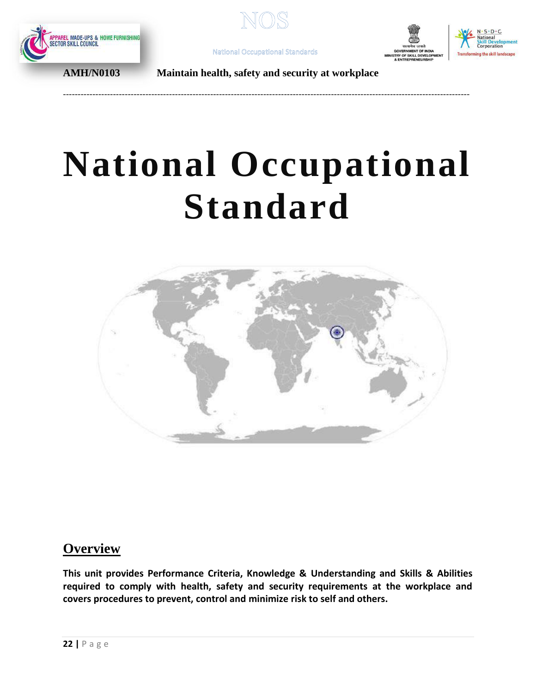







**AMH/N0103 Maintain health, safety and security at workplace**

<span id="page-21-0"></span>------------------------------------------------------------------------------------------------------------------------------------------

# **National Occupational Standard**



# **Overview**

**This unit provides Performance Criteria, Knowledge & Understanding and Skills & Abilities required to comply with health, safety and security requirements at the workplace and covers procedures to prevent, control and minimize risk to self and others.**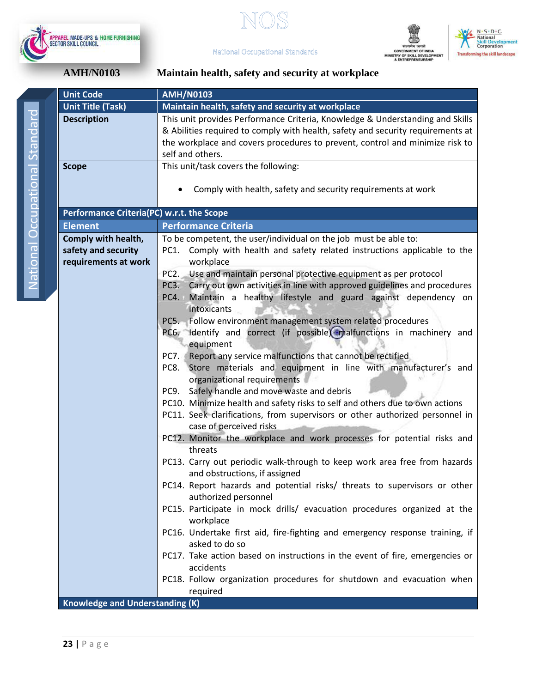







**AMH/N0103 Maintain health, safety and security at workplace**

| <b>Unit Code</b>                          | <b>AMH/N0103</b>                                                                              |  |
|-------------------------------------------|-----------------------------------------------------------------------------------------------|--|
| <b>Unit Title (Task)</b>                  | Maintain health, safety and security at workplace                                             |  |
| <b>Description</b>                        | This unit provides Performance Criteria, Knowledge & Understanding and Skills                 |  |
|                                           | & Abilities required to comply with health, safety and security requirements at               |  |
|                                           | the workplace and covers procedures to prevent, control and minimize risk to                  |  |
|                                           | self and others.                                                                              |  |
| <b>Scope</b>                              | This unit/task covers the following:                                                          |  |
|                                           |                                                                                               |  |
|                                           | Comply with health, safety and security requirements at work                                  |  |
|                                           |                                                                                               |  |
| Performance Criteria(PC) w.r.t. the Scope |                                                                                               |  |
| <b>Element</b>                            | <b>Performance Criteria</b>                                                                   |  |
| Comply with health,                       | To be competent, the user/individual on the job must be able to:                              |  |
| safety and security                       | Comply with health and safety related instructions applicable to the<br>PC1.                  |  |
| requirements at work                      | workplace                                                                                     |  |
|                                           | Use and maintain personal protective equipment as per protocol<br>PC <sub>2</sub> .           |  |
|                                           | Carry out own activities in line with approved guidelines and procedures<br>PC <sub>3</sub> . |  |
|                                           | Maintain a healthy lifestyle and guard against dependency on<br>PC4.                          |  |
|                                           | intoxicants                                                                                   |  |
|                                           | PC5. Follow environment management system related procedures                                  |  |
|                                           | PC6. Identify and correct (if possible) malfunctions in machinery and                         |  |
|                                           | equipment                                                                                     |  |
|                                           | Report any service malfunctions that cannot be rectified<br>PC7.                              |  |
|                                           | Store materials and equipment in line with manufacturer's and<br>PC8.                         |  |
|                                           | organizational requirements                                                                   |  |
|                                           | Safely handle and move waste and debris<br>PC9.                                               |  |
|                                           | PC10. Minimize health and safety risks to self and others due to own actions                  |  |
|                                           | PC11. Seek clarifications, from supervisors or other authorized personnel in                  |  |
|                                           | case of perceived risks                                                                       |  |
|                                           | PC12. Monitor the workplace and work processes for potential risks and                        |  |
|                                           | threats                                                                                       |  |
|                                           | PC13. Carry out periodic walk-through to keep work area free from hazards                     |  |
|                                           | and obstructions, if assigned                                                                 |  |
|                                           | PC14. Report hazards and potential risks/ threats to supervisors or other                     |  |
|                                           | authorized personnel                                                                          |  |
|                                           | PC15. Participate in mock drills/ evacuation procedures organized at the                      |  |
|                                           | workplace                                                                                     |  |
|                                           | PC16. Undertake first aid, fire-fighting and emergency response training, if                  |  |
|                                           | asked to do so                                                                                |  |
|                                           | PC17. Take action based on instructions in the event of fire, emergencies or                  |  |
|                                           | accidents                                                                                     |  |
|                                           | PC18. Follow organization procedures for shutdown and evacuation when                         |  |
|                                           | required                                                                                      |  |
| <b>Knowledge and Understanding (K)</b>    |                                                                                               |  |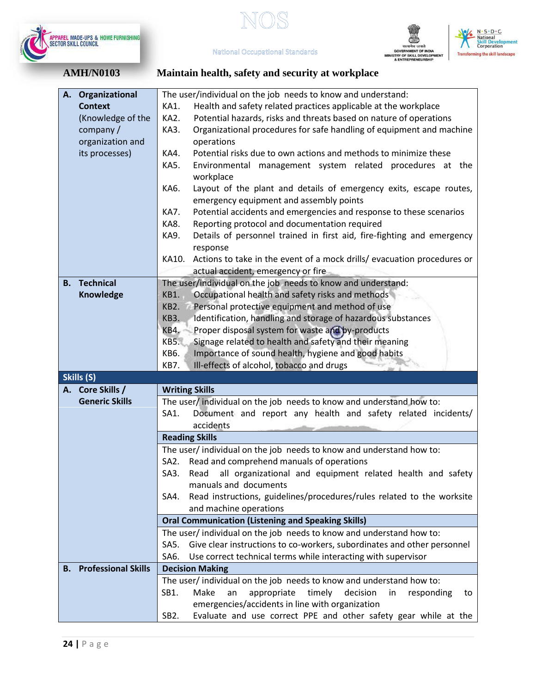

 $\mathbb{S}$  $\mathbb{N}$ 





**National Occupational Standards AMH/N0103 Maintain health, safety and security at workplace**

| A. Organizational             | The user/individual on the job needs to know and understand:                                                                            |  |
|-------------------------------|-----------------------------------------------------------------------------------------------------------------------------------------|--|
| <b>Context</b>                | KA1.<br>Health and safety related practices applicable at the workplace                                                                 |  |
| (Knowledge of the             | KA2.<br>Potential hazards, risks and threats based on nature of operations                                                              |  |
| company/                      | Organizational procedures for safe handling of equipment and machine<br>KA3.                                                            |  |
| organization and              | operations                                                                                                                              |  |
| its processes)                | Potential risks due to own actions and methods to minimize these<br>KA4.                                                                |  |
|                               |                                                                                                                                         |  |
|                               | Environmental management system related procedures at the<br>KA5.<br>workplace                                                          |  |
|                               | KA6.<br>Layout of the plant and details of emergency exits, escape routes,                                                              |  |
|                               | emergency equipment and assembly points                                                                                                 |  |
|                               | Potential accidents and emergencies and response to these scenarios<br>KA7.                                                             |  |
|                               | Reporting protocol and documentation required<br>KA8.                                                                                   |  |
|                               |                                                                                                                                         |  |
|                               | Details of personnel trained in first aid, fire-fighting and emergency<br>KA9.<br>response                                              |  |
|                               | Actions to take in the event of a mock drills/ evacuation procedures or<br>KA10.                                                        |  |
|                               | actual accident, emergency or fire                                                                                                      |  |
| <b>Technical</b><br>В.        | The user/individual on the job needs to know and understand:                                                                            |  |
| <b>Knowledge</b>              | Occupational health and safety risks and methods<br>KB1.                                                                                |  |
|                               | Personal protective equipment and method of use<br>KB2.                                                                                 |  |
|                               |                                                                                                                                         |  |
|                               | KB3.<br>Identification, handling and storage of hazardous substances                                                                    |  |
|                               | Proper disposal system for waste and by-products<br>KB4.                                                                                |  |
|                               | Signage related to health and safety and their meaning<br><b>KB5.</b>                                                                   |  |
|                               | Importance of sound health, hygiene and good habits<br>KB6.                                                                             |  |
|                               | KB7.<br>Ill-effects of alcohol, tobacco and drugs                                                                                       |  |
| Skills (S)                    |                                                                                                                                         |  |
| A. Core Skills /              | <b>Writing Skills</b>                                                                                                                   |  |
| <b>Generic Skills</b>         | The user/ individual on the job needs to know and understand how to:                                                                    |  |
|                               | Document and report any health and safety related incidents/<br>SA1.                                                                    |  |
|                               | accidents                                                                                                                               |  |
|                               | <b>Reading Skills</b>                                                                                                                   |  |
|                               | The user/ individual on the job needs to know and understand how to:                                                                    |  |
|                               | Read and comprehend manuals of operations<br>SA2.                                                                                       |  |
|                               | Read all organizational and equipment related health and safety<br>SA3.                                                                 |  |
|                               | manuals and documents                                                                                                                   |  |
|                               | Read instructions, guidelines/procedures/rules related to the worksite<br>SA4.                                                          |  |
|                               | and machine operations                                                                                                                  |  |
|                               | <b>Oral Communication (Listening and Speaking Skills)</b>                                                                               |  |
|                               | The user/ individual on the job needs to know and understand how to:                                                                    |  |
|                               | Give clear instructions to co-workers, subordinates and other personnel                                                                 |  |
|                               | SA5.                                                                                                                                    |  |
|                               | SA6.<br>Use correct technical terms while interacting with supervisor                                                                   |  |
|                               |                                                                                                                                         |  |
| <b>B.</b> Professional Skills | <b>Decision Making</b>                                                                                                                  |  |
|                               | The user/individual on the job needs to know and understand how to:                                                                     |  |
|                               | SB1.<br>timely<br>Make<br>appropriate<br>decision<br>an<br>in<br>responding<br>to                                                       |  |
|                               | emergencies/accidents in line with organization<br>SB <sub>2</sub> .<br>Evaluate and use correct PPE and other safety gear while at the |  |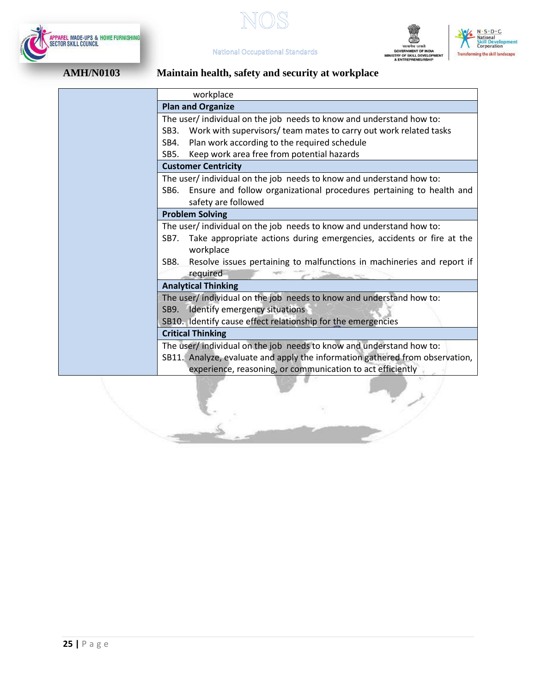





لإفراط



# **AMH/N0103 Maintain health, safety and security at workplace**

**National Occupational Standards** 

|                     | workplace                                                                                  |  |  |  |  |  |
|---------------------|--------------------------------------------------------------------------------------------|--|--|--|--|--|
|                     | <b>Plan and Organize</b>                                                                   |  |  |  |  |  |
|                     | The user/ individual on the job needs to know and understand how to:                       |  |  |  |  |  |
|                     | Work with supervisors/ team mates to carry out work related tasks<br>SB <sub>3</sub> .     |  |  |  |  |  |
|                     | Plan work according to the required schedule<br>SB4.                                       |  |  |  |  |  |
|                     | Keep work area free from potential hazards<br>SB5.                                         |  |  |  |  |  |
|                     | <b>Customer Centricity</b>                                                                 |  |  |  |  |  |
|                     | The user/individual on the job needs to know and understand how to:                        |  |  |  |  |  |
|                     | Ensure and follow organizational procedures pertaining to health and<br>SB6.               |  |  |  |  |  |
| safety are followed |                                                                                            |  |  |  |  |  |
|                     | <b>Problem Solving</b>                                                                     |  |  |  |  |  |
|                     | The user/individual on the job needs to know and understand how to:                        |  |  |  |  |  |
|                     | Take appropriate actions during emergencies, accidents or fire at the<br>SB7.<br>workplace |  |  |  |  |  |
|                     | Resolve issues pertaining to malfunctions in machineries and report if<br>SB8.             |  |  |  |  |  |
|                     | required                                                                                   |  |  |  |  |  |
|                     | <b>Analytical Thinking</b>                                                                 |  |  |  |  |  |
|                     | The user/ individual on the job needs to know and understand how to:                       |  |  |  |  |  |
|                     | SB9. Identify emergency situations                                                         |  |  |  |  |  |
|                     | SB10. Identify cause effect relationship for the emergencies                               |  |  |  |  |  |
|                     | <b>Critical Thinking</b>                                                                   |  |  |  |  |  |
|                     | The user/ individual on the job needs to know and understand how to:                       |  |  |  |  |  |
|                     | SB11. Analyze, evaluate and apply the information gathered from observation,               |  |  |  |  |  |
|                     | experience, reasoning, or communication to act efficiently                                 |  |  |  |  |  |
|                     |                                                                                            |  |  |  |  |  |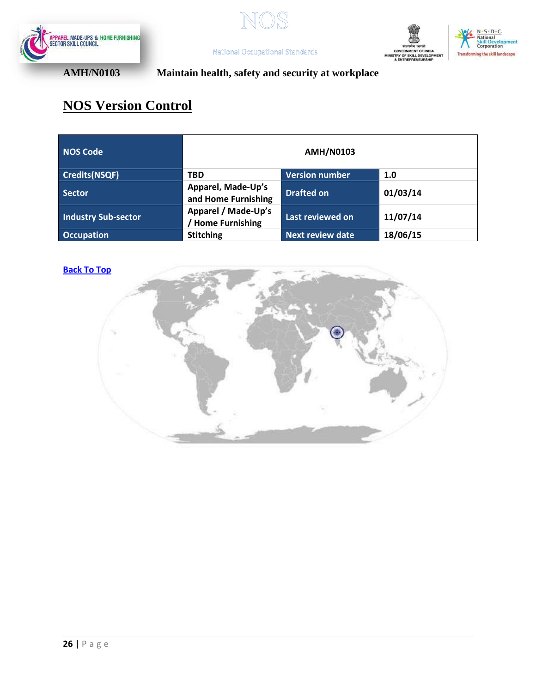







**AMH/N0103 Maintain health, safety and security at workplace**

**National Occupational Standards** 

# **NOS Version Control**

| <b>NOS Code</b>     | <b>AMH/N0103</b>                              |                         |          |  |  |  |
|---------------------|-----------------------------------------------|-------------------------|----------|--|--|--|
| Credits(NSQF)       | <b>TBD</b>                                    | <b>Version number</b>   | 1.0      |  |  |  |
| Sector              | Apparel, Made-Up's<br>and Home Furnishing     | <b>Drafted on</b>       | 01/03/14 |  |  |  |
| Industry Sub-sector | Apparel / Made-Up's<br><b>Home Furnishing</b> | Last reviewed on        | 11/07/14 |  |  |  |
| <b>Occupation</b>   | <b>Stitching</b>                              | <b>Next review date</b> | 18/06/15 |  |  |  |

### **[Back To Top](#page-1-1)**

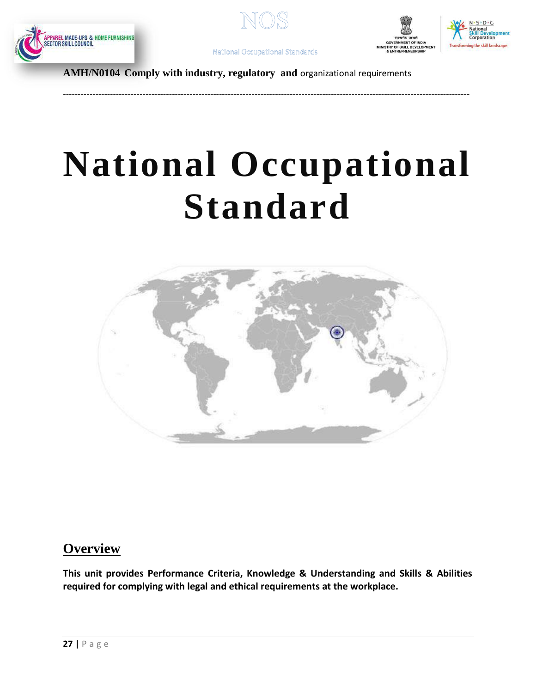







<span id="page-26-0"></span>------------------------------------------------------------------------------------------------------------------------------------------

**AMH/N0104 Comply with industry, regulatory and** organizational requirements

# **National Occupational Standard**



# **Overview**

**This unit provides Performance Criteria, Knowledge & Understanding and Skills & Abilities required for complying with legal and ethical requirements at the workplace.**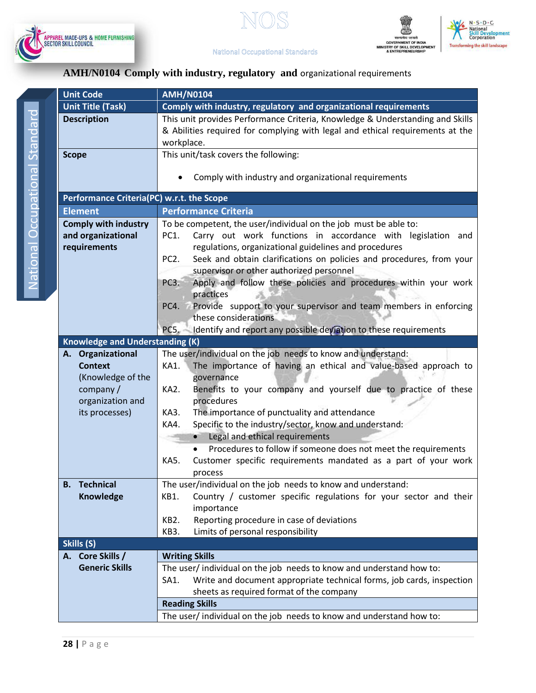







# **AMH/N0104 Comply with industry, regulatory and** organizational requirements

| <b>Unit Code</b>                          | <b>AMH/N0104</b>                                                                          |  |  |
|-------------------------------------------|-------------------------------------------------------------------------------------------|--|--|
| <b>Unit Title (Task)</b>                  | Comply with industry, regulatory and organizational requirements                          |  |  |
| <b>Description</b>                        | This unit provides Performance Criteria, Knowledge & Understanding and Skills             |  |  |
|                                           | & Abilities required for complying with legal and ethical requirements at the             |  |  |
|                                           | workplace.                                                                                |  |  |
| <b>Scope</b>                              | This unit/task covers the following:                                                      |  |  |
|                                           |                                                                                           |  |  |
|                                           | Comply with industry and organizational requirements                                      |  |  |
|                                           |                                                                                           |  |  |
| Performance Criteria(PC) w.r.t. the Scope |                                                                                           |  |  |
| <b>Element</b>                            | <b>Performance Criteria</b>                                                               |  |  |
| <b>Comply with industry</b>               | To be competent, the user/individual on the job must be able to:                          |  |  |
| and organizational                        | Carry out work functions in accordance with legislation and<br>PC1.                       |  |  |
| requirements                              | regulations, organizational guidelines and procedures                                     |  |  |
|                                           | Seek and obtain clarifications on policies and procedures, from your<br>PC <sub>2</sub> . |  |  |
|                                           | supervisor or other authorized personnel                                                  |  |  |
|                                           | Apply and follow these policies and procedures within your work<br>PC <sub>3</sub> .      |  |  |
|                                           | practices                                                                                 |  |  |
|                                           | Provide support to your supervisor and team members in enforcing<br>PC4.                  |  |  |
|                                           | these considerations                                                                      |  |  |
|                                           | Identify and report any possible deviation to these requirements<br>PC5.                  |  |  |
| <b>Knowledge and Understanding (K)</b>    |                                                                                           |  |  |
| Organizational<br>А.                      | The user/individual on the job needs to know and understand:                              |  |  |
| <b>Context</b>                            | The importance of having an ethical and value-based approach to<br>KA1.                   |  |  |
| (Knowledge of the                         | governance                                                                                |  |  |
| company/<br>organization and              | Benefits to your company and yourself due to practice of these<br>KA2.<br>procedures      |  |  |
| its processes)                            | The importance of punctuality and attendance<br>KA3.                                      |  |  |
|                                           | Specific to the industry/sector, know and understand:<br>KA4.                             |  |  |
|                                           | Legal and ethical requirements<br>$\bullet$                                               |  |  |
|                                           | Procedures to follow if someone does not meet the requirements                            |  |  |
|                                           | Customer specific requirements mandated as a part of your work<br>KA5.                    |  |  |
|                                           | process                                                                                   |  |  |
| <b>Technical</b><br>В.                    | The user/individual on the job needs to know and understand:                              |  |  |
| <b>Knowledge</b>                          | Country / customer specific regulations for your sector and their<br>KB1.                 |  |  |
|                                           | importance                                                                                |  |  |
|                                           | Reporting procedure in case of deviations<br>KB <sub>2</sub> .                            |  |  |
|                                           | Limits of personal responsibility<br>KB3.                                                 |  |  |
| Skills (S)                                |                                                                                           |  |  |
| A. Core Skills /                          | <b>Writing Skills</b>                                                                     |  |  |
| <b>Generic Skills</b>                     | The user/ individual on the job needs to know and understand how to:                      |  |  |
|                                           | Write and document appropriate technical forms, job cards, inspection<br>SA1.             |  |  |
|                                           | sheets as required format of the company                                                  |  |  |
|                                           | <b>Reading Skills</b>                                                                     |  |  |
|                                           | The user/ individual on the job needs to know and understand how to:                      |  |  |
|                                           |                                                                                           |  |  |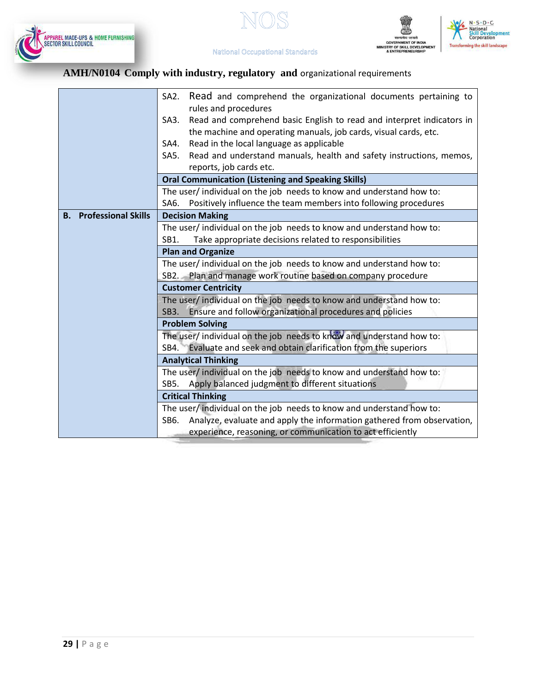







# **AMH/N0104 Comply with industry, regulatory and** organizational requirements

|                                         | Read and comprehend the organizational documents pertaining to<br>SA2.                                 |  |  |  |  |
|-----------------------------------------|--------------------------------------------------------------------------------------------------------|--|--|--|--|
|                                         | rules and procedures                                                                                   |  |  |  |  |
|                                         | Read and comprehend basic English to read and interpret indicators in<br>SA3.                          |  |  |  |  |
|                                         | the machine and operating manuals, job cards, visual cards, etc.                                       |  |  |  |  |
|                                         | Read in the local language as applicable<br>SA4.                                                       |  |  |  |  |
|                                         | Read and understand manuals, health and safety instructions, memos,<br>SA5.<br>reports, job cards etc. |  |  |  |  |
|                                         | <b>Oral Communication (Listening and Speaking Skills)</b>                                              |  |  |  |  |
|                                         | The user/ individual on the job needs to know and understand how to:                                   |  |  |  |  |
|                                         | Positively influence the team members into following procedures<br>SA6.                                |  |  |  |  |
| <b>Professional Skills</b><br><b>B.</b> | <b>Decision Making</b>                                                                                 |  |  |  |  |
|                                         | The user/ individual on the job needs to know and understand how to:                                   |  |  |  |  |
|                                         |                                                                                                        |  |  |  |  |
|                                         | Take appropriate decisions related to responsibilities<br>SB1.<br><b>Plan and Organize</b>             |  |  |  |  |
|                                         |                                                                                                        |  |  |  |  |
|                                         | The user/ individual on the job needs to know and understand how to:                                   |  |  |  |  |
|                                         | SB2. Plan and manage work routine based on company procedure                                           |  |  |  |  |
|                                         | <b>Customer Centricity</b>                                                                             |  |  |  |  |
|                                         | The user/ individual on the job needs to know and understand how to:                                   |  |  |  |  |
|                                         | SB3. Ensure and follow organizational procedures and policies                                          |  |  |  |  |
|                                         | <b>Problem Solving</b>                                                                                 |  |  |  |  |
|                                         | The user/ individual on the job needs to know and understand how to:                                   |  |  |  |  |
|                                         | SB4. Evaluate and seek and obtain clarification from the superiors                                     |  |  |  |  |
|                                         | <b>Analytical Thinking</b>                                                                             |  |  |  |  |
|                                         | The user/ individual on the job needs to know and understand how to:                                   |  |  |  |  |
|                                         | SB5. Apply balanced judgment to different situations                                                   |  |  |  |  |
|                                         | <b>Critical Thinking</b>                                                                               |  |  |  |  |
|                                         | The user/individual on the job needs to know and understand how to:                                    |  |  |  |  |
|                                         | Analyze, evaluate and apply the information gathered from observation,<br>SB6.                         |  |  |  |  |
|                                         | experience, reasoning, or communication to act efficiently                                             |  |  |  |  |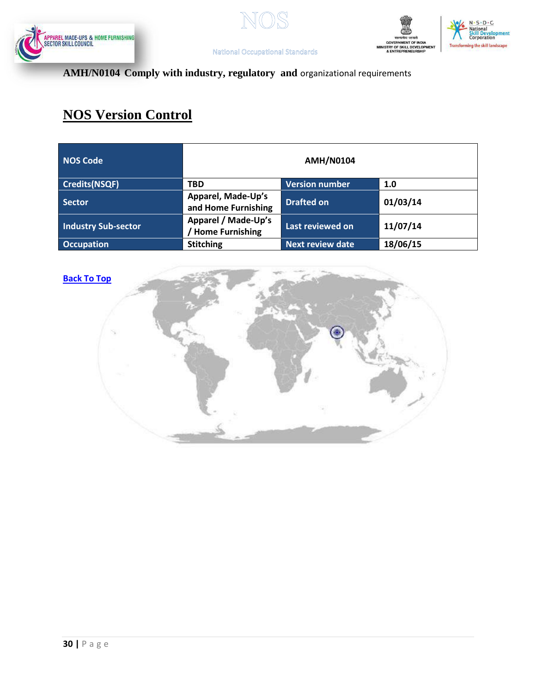







# **AMH/N0104 Comply with industry, regulatory and** organizational requirements

# **NOS Version Control**

| NOS Code                   | <b>AMH/N0104</b>                              |                         |          |  |  |
|----------------------------|-----------------------------------------------|-------------------------|----------|--|--|
| Credits(NSQF)              | <b>TBD</b>                                    | <b>Version number</b>   | 1.0      |  |  |
| <b>Sector</b>              | Apparel, Made-Up's<br>and Home Furnishing     | <b>Drafted on</b>       | 01/03/14 |  |  |
| <b>Industry Sub-sector</b> | Apparel / Made-Up's<br><b>Home Furnishing</b> | Last reviewed on        | 11/07/14 |  |  |
| <b>Occupation</b>          | <b>Stitching</b>                              | <b>Next review date</b> | 18/06/15 |  |  |



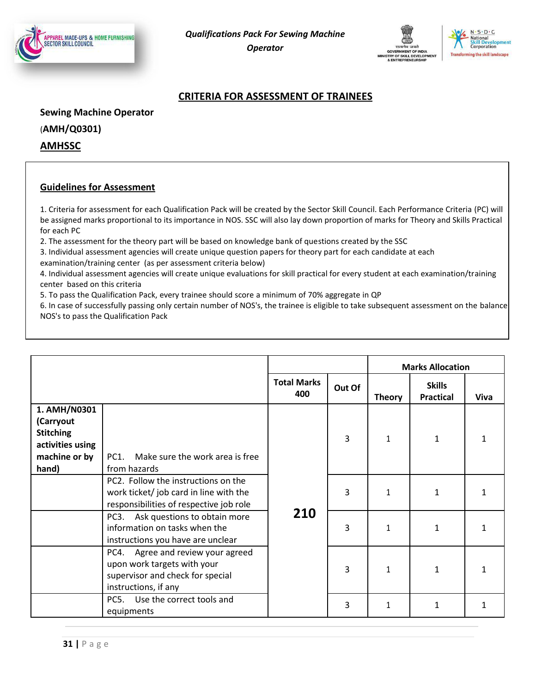





### **CRITERIA FOR ASSESSMENT OF TRAINEES**

**Sewing Machine Operator**

(**AMH/Q0301)**

**AMHSSC**

### **Guidelines for Assessment**

1. Criteria for assessment for each Qualification Pack will be created by the Sector Skill Council. Each Performance Criteria (PC) will be assigned marks proportional to its importance in NOS. SSC will also lay down proportion of marks for Theory and Skills Practical for each PC

2. The assessment for the theory part will be based on knowledge bank of questions created by the SSC

3. Individual assessment agencies will create unique question papers for theory part for each candidate at each examination/training center (as per assessment criteria below)

4. Individual assessment agencies will create unique evaluations for skill practical for every student at each examination/training center based on this criteria

5. To pass the Qualification Pack, every trainee should score a minimum of 70% aggregate in QP

6. In case of successfully passing only certain number of NOS's, the trainee is eligible to take subsequent assessment on the balance NOS's to pass the Qualification Pack

|                                                                                             |                                                                                                                                 |                           |        | <b>Marks Allocation</b> |                                           |   |  |
|---------------------------------------------------------------------------------------------|---------------------------------------------------------------------------------------------------------------------------------|---------------------------|--------|-------------------------|-------------------------------------------|---|--|
|                                                                                             |                                                                                                                                 | <b>Total Marks</b><br>400 | Out Of | <b>Theory</b>           | <b>Skills</b><br><b>Practical</b><br>Viva |   |  |
| 1. AMH/N0301<br>(Carryout<br><b>Stitching</b><br>activities using<br>machine or by<br>hand) | Make sure the work area is free<br><b>PC1.</b><br>from hazards                                                                  |                           | 3      | 1                       | 1                                         | 1 |  |
|                                                                                             | PC2. Follow the instructions on the<br>work ticket/ job card in line with the<br>responsibilities of respective job role        |                           | 3      | $\mathbf{1}$            | 1                                         |   |  |
|                                                                                             | Ask questions to obtain more<br>PC <sub>3</sub> .<br>information on tasks when the<br>instructions you have are unclear         | 210                       | 3      | 1                       | 1                                         |   |  |
|                                                                                             | Agree and review your agreed<br>PC4.<br>upon work targets with your<br>supervisor and check for special<br>instructions, if any |                           | 3      | $\mathbf{1}$            | 1                                         |   |  |
|                                                                                             | PC5. Use the correct tools and<br>equipments                                                                                    |                           | 3      | 1                       | 1                                         | 1 |  |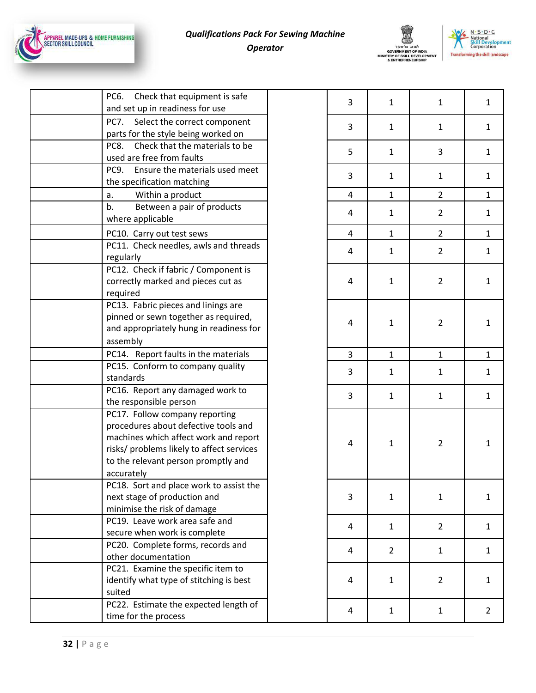

# *Qualifications Pack For Sewing Machine Operator*

![](_page_31_Picture_2.jpeg)

![](_page_31_Picture_3.jpeg)

| PC6.<br>Check that equipment is safe      |  |
|-------------------------------------------|--|
| and set up in readiness for use           |  |
| PC7.<br>Select the correct component      |  |
| parts for the style being worked on       |  |
| Check that the materials to be<br>PC8.    |  |
| used are free from faults                 |  |
| Ensure the materials used meet<br>PC9.    |  |
| the specification matching                |  |
| Within a product<br>a.                    |  |
| b.<br>Between a pair of products          |  |
| where applicable                          |  |
| PC10. Carry out test sews                 |  |
| PC11. Check needles, awls and threads     |  |
| regularly                                 |  |
| PC12. Check if fabric / Component is      |  |
| correctly marked and pieces cut as        |  |
| required                                  |  |
| PC13. Fabric pieces and linings are       |  |
| pinned or sewn together as required,      |  |
| and appropriately hung in readiness for   |  |
| assembly                                  |  |
| PC14. Report faults in the materials      |  |
| PC15. Conform to company quality          |  |
| standards                                 |  |
| PC16. Report any damaged work to          |  |
| the responsible person                    |  |
| PC17. Follow company reporting            |  |
| procedures about defective tools and      |  |
| machines which affect work and report     |  |
| risks/ problems likely to affect services |  |
| to the relevant person promptly and       |  |
| accurately                                |  |
| PC18. Sort and place work to assist the   |  |
| next stage of production and              |  |
| minimise the risk of damage               |  |
| PC19. Leave work area safe and            |  |
| secure when work is complete              |  |
| PC20. Complete forms, records and         |  |
| other documentation                       |  |
| PC21. Examine the specific item to        |  |
| identify what type of stitching is best   |  |
| suited                                    |  |
| PC22. Estimate the expected length of     |  |
| time for the process                      |  |

| 3                        | $\mathbf{1}$   | $\mathbf{1}$            | $\mathbf{1}$            |
|--------------------------|----------------|-------------------------|-------------------------|
| 3                        | $\mathbf{1}$   | $\mathbf{1}$            | $\mathbf{1}$            |
| 5                        | $\mathbf{1}$   | 3                       | $\mathbf{1}$            |
| 3                        | $\mathbf{1}$   | $\mathbf{1}$            | $\mathbf{1}$            |
| $\overline{\mathbf{r}}$  | $\mathbf{1}$   | $\frac{2}{3}$           | $\mathbf{1}$            |
| $\overline{\mathbf{4}}$  | $\mathbf{1}$   | $\overline{\mathbf{c}}$ | $\mathbf{1}$            |
| $\overline{\mathbf{4}}$  | $\mathbf{1}$   | $\overline{2}$          | $\overline{1}$          |
| $\overline{\mathbf{4}}$  | $\mathbf{1}$   | $\overline{c}$          | $\mathbf{1}$            |
| $\overline{\mathbf{4}}$  | $\mathbf{1}$   | $\overline{\mathbf{c}}$ | $\mathbf{1}$            |
| $\overline{\mathbf{r}}$  | $\mathbf{1}$   | $\overline{\mathbf{c}}$ | $\mathbf{1}$            |
| 3                        | $\mathbf{1}$   | $\mathbf{1}$            | $\overline{1}$          |
| 3                        | $\mathbf{1}$   | $\mathbf{1}$            | $\mathbf{1}$            |
| 3                        | $\mathbf{1}$   | $\mathbf{1}$            | $\mathbf{1}$            |
| $\overline{\mathbf{r}}$  | $\mathbf{1}$   | $\overline{\mathbf{c}}$ | $\mathbf{1}$            |
| 3                        | $\mathbf{1}$   | $\mathbf{1}$            | $\mathbf{1}$            |
| $\overline{\mathcal{A}}$ | $\mathbf{1}$   | $\overline{\mathbf{c}}$ | $\mathbf{1}$            |
| $\overline{\mathbf{r}}$  | $\overline{c}$ | $\mathbf{1}$            | $\mathbf{1}$            |
| $\overline{\mathcal{A}}$ | $\mathbf{1}$   | $\overline{\mathbf{c}}$ | $\mathbf{1}$            |
| $\overline{\mathcal{A}}$ | $\mathbf{1}$   | $\mathbf{1}$            | $\overline{\mathbf{c}}$ |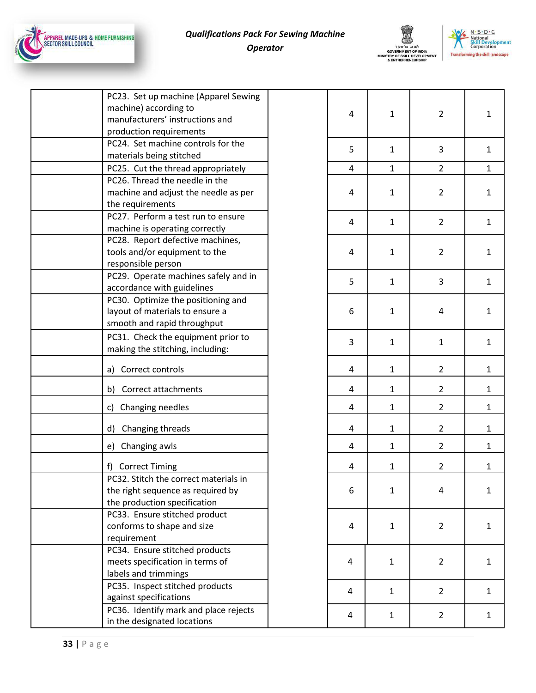![](_page_32_Picture_0.jpeg)

# *Qualifications Pack For Sewing Machine Operator*

![](_page_32_Picture_2.jpeg)

![](_page_32_Picture_3.jpeg)

| PC23. Set up machine (Apparel Sewing<br>machine) according to<br>manufacturers' instructions and<br>production requirements | 4 | $\mathbf{1}$ | $\overline{2}$ | $\mathbf{1}$ |
|-----------------------------------------------------------------------------------------------------------------------------|---|--------------|----------------|--------------|
| PC24. Set machine controls for the<br>materials being stitched                                                              | 5 | $\mathbf{1}$ | 3              | 1            |
| PC25. Cut the thread appropriately                                                                                          | 4 | $\mathbf{1}$ | $\overline{2}$ | 1            |
| PC26. Thread the needle in the<br>machine and adjust the needle as per<br>the requirements                                  | 4 | $\mathbf{1}$ | $\overline{2}$ | 1            |
| PC27. Perform a test run to ensure<br>machine is operating correctly                                                        | 4 | $\mathbf{1}$ | $\overline{2}$ | $\mathbf{1}$ |
| PC28. Report defective machines,<br>tools and/or equipment to the<br>responsible person                                     | 4 | $\mathbf{1}$ | $\overline{2}$ | 1            |
| PC29. Operate machines safely and in<br>accordance with guidelines                                                          | 5 | $\mathbf{1}$ | 3              | 1            |
| PC30. Optimize the positioning and<br>layout of materials to ensure a<br>smooth and rapid throughput                        | 6 | $\mathbf{1}$ | 4              | 1            |
| PC31. Check the equipment prior to<br>making the stitching, including:                                                      | 3 | $\mathbf{1}$ | $\mathbf{1}$   | 1            |
| a) Correct controls                                                                                                         | 4 | $\mathbf{1}$ | $\overline{2}$ | 1            |
| Correct attachments<br>b)                                                                                                   | 4 | $\mathbf{1}$ | $\overline{2}$ | $\mathbf{1}$ |
| c) Changing needles                                                                                                         | 4 | $\mathbf{1}$ | $\overline{2}$ | $\mathbf{1}$ |
| d) Changing threads                                                                                                         | 4 | $\mathbf{1}$ | $\overline{2}$ | $\mathbf{1}$ |
| e) Changing awls                                                                                                            | 4 | $\mathbf{1}$ | $\overline{2}$ | $\mathbf{1}$ |
| f) Correct Timing                                                                                                           | 4 | $\mathbf{1}$ | $\overline{2}$ | $\mathbf{1}$ |
| PC32. Stitch the correct materials in<br>the right sequence as required by<br>the production specification                  | 6 | $\mathbf{1}$ | 4              | 1            |
| PC33. Ensure stitched product<br>conforms to shape and size<br>requirement                                                  | 4 | $\mathbf{1}$ | $\overline{2}$ | 1            |
| PC34. Ensure stitched products<br>meets specification in terms of<br>labels and trimmings                                   | 4 | $\mathbf{1}$ | $\overline{2}$ | 1            |
| PC35. Inspect stitched products<br>against specifications                                                                   | 4 | $\mathbf{1}$ | $2^{\circ}$    | 1            |
| PC36. Identify mark and place rejects<br>in the designated locations                                                        | 4 | $\mathbf{1}$ | $\overline{2}$ | $\mathbf{1}$ |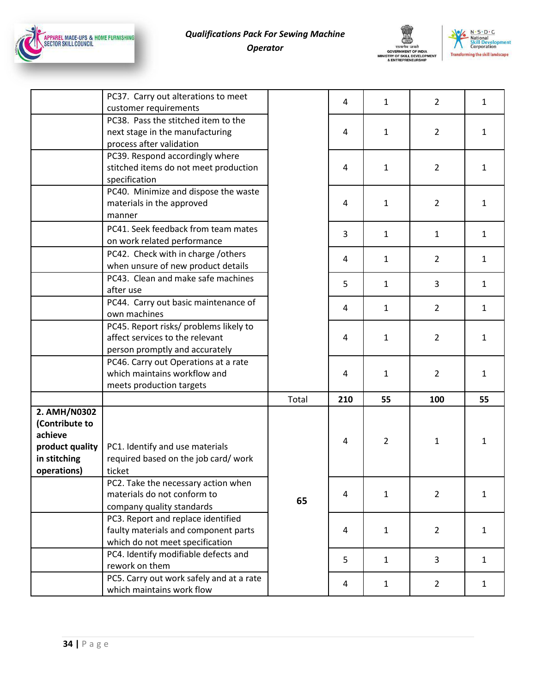![](_page_33_Picture_0.jpeg)

![](_page_33_Picture_2.jpeg)

![](_page_33_Picture_3.jpeg)

|                             | PC37. Carry out alterations to meet<br>customer requirements             |       | 4   | $\mathbf{1}$   | $\overline{2}$ | $\mathbf{1}$ |
|-----------------------------|--------------------------------------------------------------------------|-------|-----|----------------|----------------|--------------|
|                             | PC38. Pass the stitched item to the                                      |       |     |                |                |              |
|                             | next stage in the manufacturing                                          |       | 4   | $\mathbf{1}$   | 2              | $\mathbf{1}$ |
|                             | process after validation                                                 |       |     |                |                |              |
|                             | PC39. Respond accordingly where                                          |       |     |                |                |              |
|                             | stitched items do not meet production                                    |       | 4   | $\mathbf{1}$   | $\overline{2}$ | $\mathbf{1}$ |
|                             | specification                                                            |       |     |                |                |              |
|                             | PC40. Minimize and dispose the waste                                     |       |     |                |                |              |
|                             | materials in the approved                                                |       | 4   | $\mathbf{1}$   | $\overline{2}$ | $\mathbf{1}$ |
|                             | manner                                                                   |       |     |                |                |              |
|                             | PC41. Seek feedback from team mates                                      |       | 3   | $\mathbf{1}$   | $\mathbf{1}$   | $\mathbf{1}$ |
|                             | on work related performance                                              |       |     |                |                |              |
|                             | PC42. Check with in charge /others                                       |       | 4   | $\mathbf{1}$   | $\overline{2}$ | $\mathbf{1}$ |
|                             | when unsure of new product details<br>PC43. Clean and make safe machines |       |     |                |                |              |
|                             | after use                                                                |       | 5   | $\mathbf{1}$   | 3              | $\mathbf{1}$ |
|                             | PC44. Carry out basic maintenance of                                     |       |     |                |                |              |
|                             | own machines                                                             |       | 4   | $\mathbf{1}$   | $\overline{2}$ | $\mathbf{1}$ |
|                             | PC45. Report risks/ problems likely to                                   |       |     |                |                |              |
|                             | affect services to the relevant                                          |       | 4   | $\mathbf{1}$   | $\overline{2}$ | $\mathbf{1}$ |
|                             | person promptly and accurately                                           |       |     |                |                |              |
|                             | PC46. Carry out Operations at a rate                                     |       |     |                |                |              |
|                             | which maintains workflow and                                             |       | 4   | $\mathbf{1}$   | $\overline{2}$ | $\mathbf{1}$ |
|                             | meets production targets                                                 |       |     |                |                |              |
|                             |                                                                          | Total | 210 | 55             | 100            | 55           |
| 2. AMH/N0302                |                                                                          |       |     |                |                |              |
| (Contribute to              |                                                                          |       |     |                |                |              |
| achieve                     |                                                                          |       | 4   | $\overline{2}$ | $\mathbf{1}$   | $\mathbf{1}$ |
| product quality             | PC1. Identify and use materials                                          |       |     |                |                |              |
| in stitching<br>operations) | required based on the job card/work<br>ticket                            |       |     |                |                |              |
|                             | PC2. Take the necessary action when                                      |       |     |                |                |              |
|                             | materials do not conform to                                              |       | 4   | $\mathbf{1}$   | $\overline{2}$ | $\mathbf{1}$ |
|                             | company quality standards                                                | 65    |     |                |                |              |
|                             | PC3. Report and replace identified                                       |       |     |                |                |              |
|                             | faulty materials and component parts                                     |       | 4   | $\mathbf{1}$   | $\overline{2}$ | $\mathbf{1}$ |
|                             | which do not meet specification                                          |       |     |                |                |              |
|                             | PC4. Identify modifiable defects and                                     |       | 5   | $\mathbf{1}$   | 3              | $\mathbf{1}$ |
|                             |                                                                          |       |     |                |                |              |
|                             | rework on them                                                           |       |     |                |                |              |
|                             | PC5. Carry out work safely and at a rate<br>which maintains work flow    |       | 4   | $\mathbf{1}$   | $\overline{2}$ | $\mathbf{1}$ |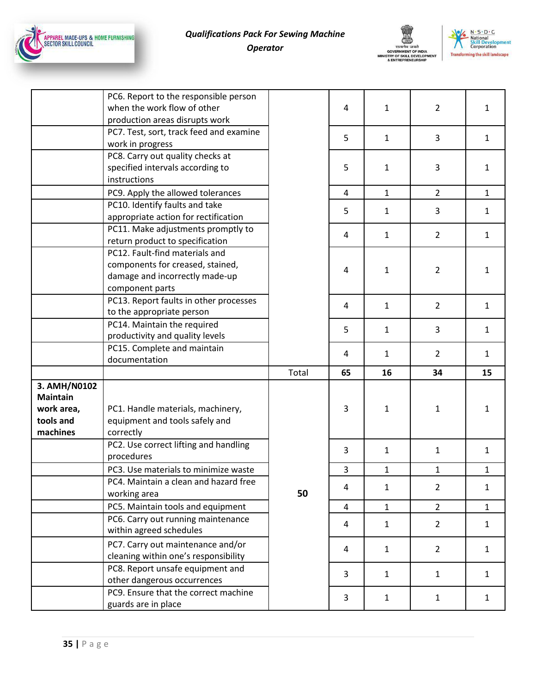![](_page_34_Picture_0.jpeg)

![](_page_34_Picture_2.jpeg)

![](_page_34_Picture_3.jpeg)

|                                                                        | PC6. Report to the responsible person<br>when the work flow of other<br>production areas disrupts work                  |       | 4              | $\mathbf{1}$ | $\overline{2}$ | $\mathbf{1}$ |
|------------------------------------------------------------------------|-------------------------------------------------------------------------------------------------------------------------|-------|----------------|--------------|----------------|--------------|
|                                                                        | PC7. Test, sort, track feed and examine<br>work in progress                                                             |       | 5              | $\mathbf{1}$ | 3              | $\mathbf{1}$ |
|                                                                        | PC8. Carry out quality checks at<br>specified intervals according to<br>instructions                                    |       | 5              | $\mathbf{1}$ | 3              | $\mathbf{1}$ |
|                                                                        | PC9. Apply the allowed tolerances                                                                                       |       | 4              | $\mathbf{1}$ | $\overline{2}$ | $\mathbf{1}$ |
|                                                                        | PC10. Identify faults and take<br>appropriate action for rectification                                                  |       | 5              | $\mathbf{1}$ | 3              | $\mathbf{1}$ |
|                                                                        | PC11. Make adjustments promptly to<br>return product to specification                                                   |       | 4              | $\mathbf{1}$ | $\overline{2}$ | $\mathbf{1}$ |
|                                                                        | PC12. Fault-find materials and<br>components for creased, stained,<br>damage and incorrectly made-up<br>component parts |       | 4              | 1            | $\overline{2}$ | $\mathbf{1}$ |
|                                                                        | PC13. Report faults in other processes<br>to the appropriate person                                                     |       | 4              | $\mathbf{1}$ | $\overline{2}$ | $\mathbf{1}$ |
|                                                                        | PC14. Maintain the required<br>productivity and quality levels                                                          |       | 5              | $\mathbf{1}$ | 3              | $\mathbf{1}$ |
|                                                                        | PC15. Complete and maintain<br>documentation                                                                            |       | 4              | 1            | $\overline{2}$ | $\mathbf{1}$ |
|                                                                        |                                                                                                                         | Total | 65             | 16           | 34             | 15           |
| 3. AMH/N0102<br><b>Maintain</b><br>work area,<br>tools and<br>machines | PC1. Handle materials, machinery,<br>equipment and tools safely and<br>correctly                                        |       | 3              | 1            | 1              | $\mathbf{1}$ |
|                                                                        | PC2. Use correct lifting and handling<br>procedures                                                                     |       | 3              | $\mathbf{1}$ | $\mathbf{1}$   | $\mathbf{1}$ |
|                                                                        | PC3. Use materials to minimize waste                                                                                    |       | 3              | $\mathbf{1}$ | $\mathbf{1}$   | $\mathbf{1}$ |
|                                                                        | PC4. Maintain a clean and hazard free<br>working area                                                                   | 50    | $\overline{4}$ | $\mathbf{1}$ | $\overline{2}$ | $\mathbf{1}$ |
|                                                                        | PC5. Maintain tools and equipment                                                                                       |       | 4              | $\mathbf{1}$ | $\overline{2}$ | $\mathbf{1}$ |
|                                                                        | PC6. Carry out running maintenance<br>within agreed schedules                                                           |       | 4              | $\mathbf{1}$ | $\overline{2}$ | $\mathbf{1}$ |
|                                                                        | PC7. Carry out maintenance and/or<br>cleaning within one's responsibility                                               |       | 4              | $\mathbf{1}$ | $2^{\circ}$    | $\mathbf{1}$ |
|                                                                        | PC8. Report unsafe equipment and<br>other dangerous occurrences                                                         |       | 3              | $\mathbf{1}$ | $\mathbf{1}$   | $\mathbf{1}$ |
|                                                                        | PC9. Ensure that the correct machine<br>guards are in place                                                             |       | 3              | $\mathbf{1}$ | $1\,$          | $\mathbf{1}$ |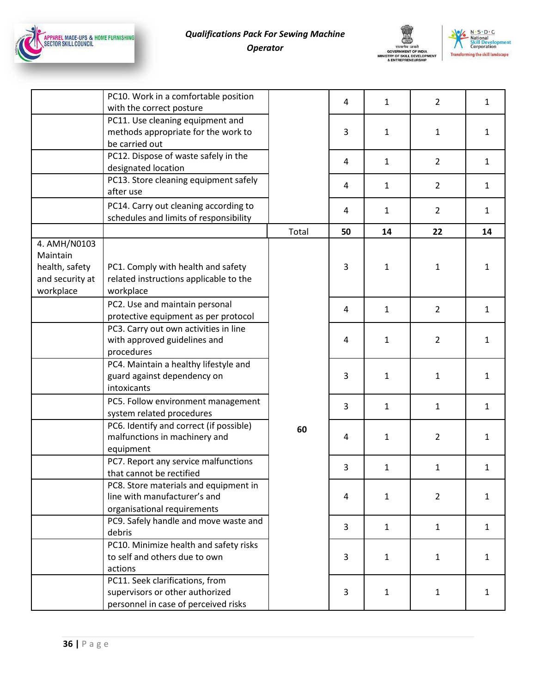![](_page_35_Picture_0.jpeg)

![](_page_35_Picture_2.jpeg)

![](_page_35_Picture_3.jpeg)

|                                                                            | PC10. Work in a comfortable position<br>with the correct posture                                           |       | 4  | $\mathbf{1}$ | $\overline{2}$ | $\mathbf{1}$ |
|----------------------------------------------------------------------------|------------------------------------------------------------------------------------------------------------|-------|----|--------------|----------------|--------------|
|                                                                            | PC11. Use cleaning equipment and<br>methods appropriate for the work to<br>be carried out                  |       | 3  | $\mathbf{1}$ | $\mathbf{1}$   | $\mathbf{1}$ |
|                                                                            | PC12. Dispose of waste safely in the<br>designated location                                                |       | 4  | 1            | $\overline{2}$ | $\mathbf{1}$ |
|                                                                            | PC13. Store cleaning equipment safely<br>after use                                                         |       | 4  | $\mathbf{1}$ | $\overline{2}$ | $\mathbf{1}$ |
|                                                                            | PC14. Carry out cleaning according to<br>schedules and limits of responsibility                            |       | 4  | $\mathbf{1}$ | $\overline{2}$ | $\mathbf{1}$ |
|                                                                            |                                                                                                            | Total | 50 | 14           | 22             | 14           |
| 4. AMH/N0103<br>Maintain<br>health, safety<br>and security at<br>workplace | PC1. Comply with health and safety<br>related instructions applicable to the<br>workplace                  |       | 3  | 1            | 1              | $\mathbf{1}$ |
|                                                                            | PC2. Use and maintain personal<br>protective equipment as per protocol                                     |       | 4  | $\mathbf{1}$ | $\overline{2}$ | $\mathbf{1}$ |
|                                                                            | PC3. Carry out own activities in line<br>with approved guidelines and<br>procedures                        |       | 4  | 1            | $\overline{2}$ | $\mathbf{1}$ |
|                                                                            | PC4. Maintain a healthy lifestyle and<br>guard against dependency on<br>intoxicants                        |       | 3  | $\mathbf{1}$ | 1              | $\mathbf{1}$ |
|                                                                            | PC5. Follow environment management<br>system related procedures                                            |       | 3  | $\mathbf{1}$ | $\mathbf{1}$   | $\mathbf{1}$ |
|                                                                            | PC6. Identify and correct (if possible)<br>malfunctions in machinery and<br>equipment                      | 60    | 4  | $\mathbf{1}$ | $\overline{2}$ | $\mathbf{1}$ |
|                                                                            | PC7. Report any service malfunctions<br>that cannot be rectified                                           |       | 3  | $\mathbf{1}$ | $\mathbf{1}$   | $\mathbf{1}$ |
|                                                                            | PC8. Store materials and equipment in<br>line with manufacturer's and<br>organisational requirements       |       | 4  | 1            | $\overline{2}$ | $\mathbf{1}$ |
|                                                                            | PC9. Safely handle and move waste and<br>debris                                                            |       | 3  | $\mathbf{1}$ | $\mathbf{1}$   | $\mathbf{1}$ |
|                                                                            | PC10. Minimize health and safety risks<br>to self and others due to own<br>actions                         |       | 3  | $\mathbf{1}$ | $\mathbf{1}$   | $\mathbf{1}$ |
|                                                                            | PC11. Seek clarifications, from<br>supervisors or other authorized<br>personnel in case of perceived risks |       | 3  | 1            | $\mathbf{1}$   | $\mathbf{1}$ |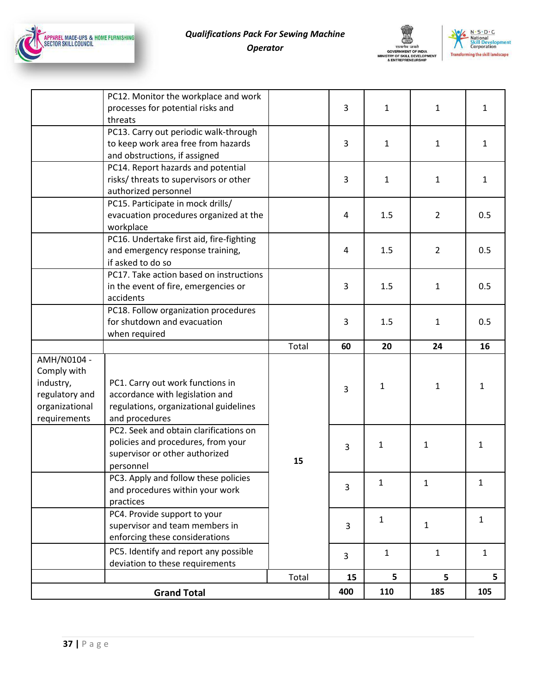![](_page_36_Picture_0.jpeg)

![](_page_36_Picture_2.jpeg)

![](_page_36_Picture_3.jpeg)

|                                                                                             | PC12. Monitor the workplace and work<br>processes for potential risks and<br>threats                                            |       | 3   | $\mathbf{1}$ | $\mathbf{1}$   | $\mathbf{1}$ |
|---------------------------------------------------------------------------------------------|---------------------------------------------------------------------------------------------------------------------------------|-------|-----|--------------|----------------|--------------|
|                                                                                             | PC13. Carry out periodic walk-through<br>to keep work area free from hazards<br>and obstructions, if assigned                   |       | 3   | 1            | $\mathbf{1}$   | 1            |
|                                                                                             | PC14. Report hazards and potential<br>risks/ threats to supervisors or other<br>authorized personnel                            |       | 3   | $\mathbf{1}$ | $\mathbf{1}$   | $\mathbf{1}$ |
|                                                                                             | PC15. Participate in mock drills/<br>evacuation procedures organized at the<br>workplace                                        |       | 4   | 1.5          | $\overline{2}$ | 0.5          |
|                                                                                             | PC16. Undertake first aid, fire-fighting<br>and emergency response training,<br>if asked to do so                               |       | 4   | 1.5          | $\overline{2}$ | 0.5          |
|                                                                                             | PC17. Take action based on instructions<br>in the event of fire, emergencies or<br>accidents                                    |       | 3   | 1.5          | $\mathbf{1}$   | 0.5          |
|                                                                                             | PC18. Follow organization procedures<br>for shutdown and evacuation<br>when required                                            |       | 3   | 1.5          | $\mathbf{1}$   | 0.5          |
|                                                                                             |                                                                                                                                 | Total | 60  | 20           | 24             | 16           |
| AMH/N0104 -<br>Comply with<br>industry,<br>regulatory and<br>organizational<br>requirements | PC1. Carry out work functions in<br>accordance with legislation and<br>regulations, organizational guidelines<br>and procedures | 15    | 3   | 1            | $\mathbf{1}$   | $\mathbf{1}$ |
|                                                                                             | PC2. Seek and obtain clarifications on<br>policies and procedures, from your<br>supervisor or other authorized<br>personnel     |       | 3   | 1            | 1              | $\mathbf{1}$ |
|                                                                                             | PC3. Apply and follow these policies<br>and procedures within your work<br>practices                                            |       | 3   | ı            | 1              | 1            |
|                                                                                             | PC4. Provide support to your<br>supervisor and team members in<br>enforcing these considerations                                |       | 3   | $\mathbf{1}$ | $\mathbf{1}$   | $\mathbf{1}$ |
|                                                                                             | PC5. Identify and report any possible<br>deviation to these requirements                                                        |       | 3   | $\mathbf{1}$ | $\mathbf{1}$   | $\mathbf{1}$ |
|                                                                                             |                                                                                                                                 | Total | 15  | 5            | 5              | 5            |
| <b>Grand Total</b>                                                                          |                                                                                                                                 |       | 400 | 110          | 185            | 105          |